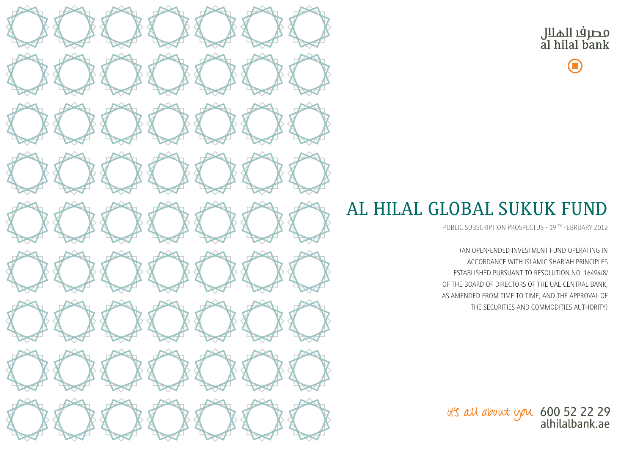

 $\bigodot$ 

### AL HILAL GLOBAL SUKUK FUND

PUBLIC SUBSCRIPTION PROSPECTUS - 19 TH FEBRUARY 2012

(AN OPEN-ENDED INVESTMENT FUND OPERATING IN ACCORDANCE WITH ISLAMIC SHARIAH PRINCIPLES ESTABLISHED PURSUANT TO RESOLUTION NO. 16494/8/ OF THE BOARD OF DIRECTORS OF THE UAE CENTRAL BANK, AS AMENDED FROM TIME TO TIME, AND THE APPROVAL OF THE SECURITIES AND COMMODITIES AUTHORITY)

it's all about you 600 52 22 29<br>alhilalbank.ae

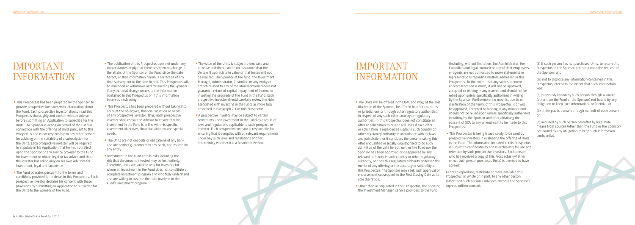### IMPORTANT INFORMATION

- The Units will be offered in the UAE and may, at the sole discretion of the Sponsor, be offered in other countries or jurisdictions or through other regulatory authorities. In respect of any such other country or regulatory authorities: (i) this Prospectus does not constitute an offer or solicitation to buy or sell Units if such offer or solicitation is regarded as illegal in such country or other regulatory authority in accordance with its laws and jurisdiction; or it considers the person making this offer unqualifed or legally unauthorized to do such act; (ii) as of the date hereof, neither the Fund nor the Sponsor has been approved or disapproved by any relevant authority in such country or other regulatory authority, nor has this regulatory authority endorsed the merits of any offering or the accuracy or suitability of this Prospectus. The Sponsor may seek such approval or endorsement subsequent to the First Closing Date at its sole discretion.
- Other than as stipulated in this Prospectus, the Sponsor, the Investment Manager, service providers to the Fund

(ii) if such person has not purchased Units, to return this Prospectus to the Sponsor promptly upon the request of the Sponsor; and

(iii) not to disclose any information contained in this Prospectus, except to the extent that such information was:

(a) previously known by such person through a source (other than the Fund or the Sponsor) not bound by any obligation to keep such information confdential; or

(b) in the public domain through no fault of such person; or

(c) acquired by such person hereafter by legitimate means from sources (other than the Fund or the Sponsor) not bound by any obligation to keep such information confdential.



(including, without limitation, the Administrator, the Custodian and legal counsel) or any of their employees or agents are not authorized to make statements or representations regarding matters addressed in this Prospectus. To the extent that any such statement or representation is made, it will not be approved, accepted or binding in any manner and should not be relied upon unless specifcally authorized in writing by the Sponsor. Furthermore, no modifcation to or clarifcation of the terms of this Prospectus is or will be approved, accepted or binding in any manner and should not be relied upon unless specifcally authorized in writing by the Sponsor and after obtaining the consent of SCA to any amendment to be made to this Prospectus.

- The publication of this Prospectus does not under any circumstances imply that there has been no change in the affairs of the Sponsor or the Fund since the date hereof, or that information herein is correct as of any time subsequent to the date hereof. This Prospectus will be amended or withdrawn and reissued by the Sponsor if any material change occurs to the information contained in this Prospectus or if this information becomes misleading.
- This Prospectus has been prepared without taking into account the objectives, fnancial situation or needs of any prospective investor. Thus, each prospective investor shall consult an Advisor to ensure that his investment in the Fund is in line with his specifc investment objectives, fnancial situation and special needs.
- The Units are not deposits or obligations of any bank and are neither guaranteed by any bank, nor insured by any entity.
- Investment in the Fund entails risks including the risk that the amount invested may be lost entirely. Therefore, Units are suitable only for investors for whom an investment in the Fund does not constitute a complete investment program and who fully understand and are willing to assume the risks involved in the Fund's investment program.

• This Prospectus is being issued solely to be used by prospective investors in evaluating the offering of Units in the Fund. The information included in this Prospectus is subject to confdentiality and is exclusively for use and retention by such prospective investors. Each person who has received a copy of this Prospectus (whether or not such person purchases Units) is deemed to have agreed:

(i) not to reproduce, distribute or make available this Prospectus, in whole or in part, to any other person (other than such person's Advisors) without the Sponsor's express written consent;

### IMPORTANT INFORMATION

- The value of the Units is subject to decrease and increase and there can be no assurance that the Units will appreciate in value or that losses will not be realized. The Sponsor of the fund, the Investment Manager, Administrator, Custodian or any entity or branch related to any of the aforementioned does not guarantee return of capital, repayment of income or investing the proceeds of the Fund in the Fund. Each prospective investor should carefully review the risks associated with investing in the Fund, as more fully described in Paragraph 7.1 of this Prospectus.
- A prospective investor may be subject to certain constraints upon investment in the Fund as a result of laws and regulations applicable to such prospective investor. Each prospective investor is responsible for ensuring that it complies with all relevant requirements under any such laws and regulations and for determining whether it is a Restricted Person.



- This Prospectus has been prepared by the Sponsor to provide prospective investors with information about the Fund. Each prospective investor should read this Prospectus thoroughly and consult with an Advisor before submitting an Application to subscribe for the Units. The Sponsor is acting on behalf of the Fund in connection with the offering of Units pursuant to this Prospectus and is not responsible to any other person for advising on the suitability of a subscription for the Units. Each prospective investor will be required to stipulate in his Application that he has not relied upon the Sponsor or any service provider to the Fund for investment to obtain legal or tax advice and that the investor has relied only on his own Advisors for investment, legal and tax advice.
- The Fund operates pursuant to the terms and conditions provided for in detail in this Prospectus. Each prospective investor declares his consent with these provisions by submitting an Application to subscribe for the Units to the Sponsor of the Fund.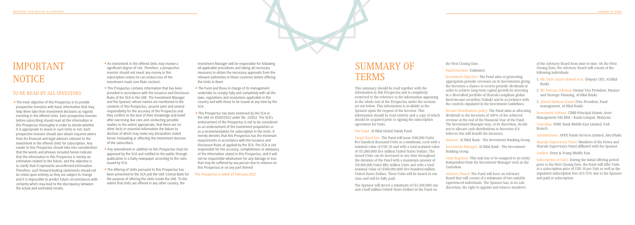This summary should be read together with the information in this Prospectus and is completely restricted to the reference to the information appearing in the whole text of the Prospectus under the sections set out below. This information is available at the Sponsor upon the request of the investor. This information should be read entirely and a copy of which should be acquired prior to signing the subscription agreement for Units.

The Fund: Al Hilal Global Sukuk Fund.

Target Fund Size: The Fund will issue (500,000 Units) fve hundred thousand Units as a minimum, each with a nominal value of USD 10 and with a total nominal value of (\$5,000,000) fve million United States Dollars. The issued Units can be increased at any time throughout the duration of the Fund with a maximum amount of (50,000,000 Units) ffty million Units and with a total nominal value of (\$500,000,000) fve hundred million United States Dollars. These Units will be issued in one class and will be fully paid.

The Sponsor will invest a minimum of (\$1,500,000) one and a half million United States Dollars in the Fund on

of the Advisory Board from time to time. On the First Closing Date, the Advisory Board will consist of the following individuals:

- 1. Mr. Sarie Assad Ahmed Arar, (Deputy CEO, Al Hilal Bank).
- 2. Mr. Haisam Odiemah (Senior Vice President, Finance and Strategic Planning, Al Hilal Bank).
- 3. Ahmed Mohsen Kamel (Vice President, Fund management, Al Hilal Bank).

Investment Adviser: CIMB-Principal Islamic Asset Management Sdn Bhd – Kuala Lumpur, Malaysia.

Custodian: HSBC Bank Middle East Limited, UAE Branch.

### IMPORTANT **NOTICE**

Administrator: APEX Funds Services Limited, Abu Dhabi.

Shariah Supervisory Panel: Members of the Fatwa and Shariah Supervisory Panel affliated with the Sponsor.

Auditor: Ernst & Young Middle East.

Subscription of Units: During the initial offering period prior to the First Closing Date, the Fund will offer Units at a subscription price of USD 10 per Unit as well as the stipulated subscription fees of 0.75% due to the Sponsor and paid at subscription.

the First Closing Date.

Fund Duration: Unlimited.

Investment Objective: The Fund aims at generating appropriate periodic revenues on its Investments giving the Investors a chance to receive periodic dividends in order to achieve long-term capital growth by investing in a diversifed portfolio of Shariah-compliant global fxed-income securities (Sukuk) and in accordance with the controls stipulated in the Investment Guidelines.

Income Distributions policy: The Fund aims at allocating dividends to the Investors of 100% of the achieved revenue at the end of the Financial Year of the Fund. The Investment Manager may, at its discretion, decide not to allocate cash distributions to Investors if it believes this will beneft the Investors.

Sponsor: Al Hilal Bank - The Investment Banking Group.

- The Fund and those in charge of its management undertake to comply fully and completely with all the laws, regulations and resolutions applicable in the country and with those to be issued at any time by the SCA.
- This Prospectus has been endorsed by the SCA in the UAE on 05/02/2012 under No. 2/2012. The SCA's endorsement of the Prospectus is not to be considered as an endorsement of the investment proposition or as a recommendation for subscription in the Units. It merely denotes that this Prospectus has the minimum requirements in accordance with the Issuance and Disclosure Rules of applied by the SCA. The SCA is not responsible for the accuracy, completeness or adequacy of the information stated in this Prospectus, and it will not be responsible whatsoever for any damage or loss that may be suffered by any person due to reliance on this Prospectus or on any part thereof.

Investment Manager: Al Hilal Bank - The Investment Banking Group.

Units Registrar: This task has to be assigned to an entity independent from the Investment Manager such as the Custodian.

Advisory Board: The Fund will have an Advisory Board that will consist of a minimum of two suitably experienced individuals. The Sponsor has, in its sole discretion, the right to appoint and remove members

#### TO BE READ BY ALL INVESTORS

Investment Manager will be responsible for following all applicable procedures and taking all necessary measures to obtain the necessary approvals from the relevant authorities in those countries before offering the Units in them.

- The main objective of this Prospectus is to provide prospective investors with basic information that may help them take their investment decisions as regards investing in the offered Units. Each prospective investor before subscribing should read all the information in this Prospectus thoroughly in order to decide whether it is appropriate to invest in such Units or not. Each prospective investor should also obtain required advice from his fnancial and legal advisors relevant to the investment in the offered Units for subscription. Any reader to this Prospectus should take into consideration that the words and phrases included herein indicate that the information in this Prospectus is merely an estimation related to the future, and the objective is to clarify that it represents unconfrmed information. Therefore, such forward-looking statements should not be relied upon entirely as they are subject to change and it is impossible to predict future circumstances with certainty which may lead to the discrepancy between the actual and estimated results.
- An investment in the offered Units may involve a signifcant degree of risk. Therefore, a prospective investor should not invest any money in this subscription unless he can endure loss of the investment made (see Risks section).
- This Prospectus contains information that has been provided in accordance with the Issuance and Disclosure Rules of the SCA in the UAE. The Investment Manager and the Sponsor, whose names are mentioned in the contents of this Prospectus, assume joint and several responsibility for the accuracy of the Prospectus and they confrm to the best of their knowledge and belief after exercising due care and conducting possible studies to the extent appropriate, that there are no other facts or essential information the failure to disclose of which may make any declaration stated herein misleading or affecting the investment decision of the subscribers.
- Any amendment or addition to this Prospectus must be approved by the SCA and notifed to the public through publication in a Daily newspaper according to the rules issued by SCA.
- The offering of Units pursuant to this Prospectus has been presented to the SCA and the UAE Central Bank for the purpose of offering the Units inside the UAE. To the extent that Units are offered in any other country, the

This Prospectus is dated 19 February 2012.

### SUMMARY OF **TERMS**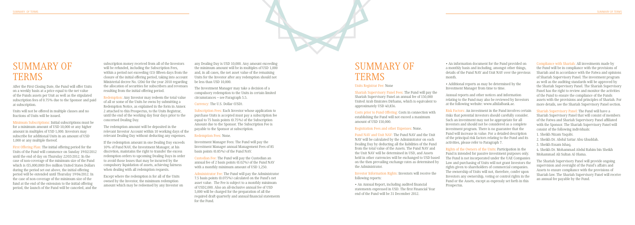Units Registrar Fee: None

Shariah Supervisory Panel Fees: The Fund will pay the Shariah Supervisory Panel an annual fee of 150,000 United Arab Emirates Dirhams, which is equivalent to approximately USD 40,836.

Costs prior to Fund Offering: Costs in connection with establishing the Fund will not exceed a maximum amount of USD 150,000.

Registration Fees and other Expenses: None.

Fund NAV and Unit NAV: The Fund NAV and the Unit NAV will be calculated by the Administrator on each Dealing Day by deducting all the liabilities of the Fund from the total value of the Assets. The Fund NAV and the Unit NAV will be determined in USD, and Assets held in other currencies will be exchanged to USD based on the then prevailing exchange rates as determined by the Administrator.

Investor Information Rights: Investors will receive the following reports:

• An Annual Report, including audited fnancial statements expressed in USD. The frst Financial Year end of the Fund will be 31 December 2012.

Compliance with Shariah: All investments made by the Fund will be in compliance with the provisions of Shariah and in accordance with the Fatwa and opinions of Shariah Supervisory Panel. The investment program as well as the auditing standards will be approved by the Shariah Supervisory Panel. The Shariah Supervisory Panel has the right to review and monitor the activities of the Fund to ensure the compliance of the Funds assets with the provisions and principles of Shariah. For more details, see the Shariah Supervisory Panel section.

Shariah Supervisory Panel: The Fund will have a Shariah Supervisory Panel that will consist of members of the Fatwa and Shariah Supervisory Panel affliated with the Sponsor. The Shariah Supervisory Panel will consist of the following individuals:

### SUMMARY OF **TERMS**

1. Sheikh Nizam Yaqubi.

- 2. Sheikh Dr. Abdul Sattar Abu Ghuddah.
- 3. Sheikh Essam Ishaq.

4. Sheikh Dr. Mohammad Abdul Rahim bin Sheikh Mohammad Ali Sultan Al Olama.

The Shariah Supervisory Panel will provide ongoing supervision and oversight of the Fund's affairs and Assets to ensure compliance with the provisions of Shariah law. The Shariah Supervisory Panel will receive an annual fee payable by the Fund.

If the redemption amount in one Dealing Day exceeds 10% of Fund NAV, the Investment Manager, at his discretion, maintains the right to transfer the excess redemption orders to upcoming Dealing Days in order to avoid those losses that may be incurred by the compulsory liquidation of assets, achieving fairness when dealing with all redemption requests.

• An information document for the Fund provided on a monthly basis and including, amongst other things, details of the Fund NAV and Unit NAV over the previous month.

• Additional reports as may be determined by the Investment Manager from time to time.

Annual reports and other notices and information relating to the Fund may also be reviewed by Investors at the following website: www.alhilalbank.ae.

Risk Factors: An investment in the Fund involves certain risks that potential investors should carefully consider. Such an investment may not be appropriate for all investors and should not be considered as a complete investment program. There is no guarantee that the Fund will increase in value. For a detailed description of the principal risk factors relating to the Fund and its activities, please refer to Paragraph 7.

Rights of the Owners of the Units: Participation in the Fund is intended for passive investment purposes only. The Fund is not incorporated under the UAE Companies Law and purchasing of Units will not grant Investors the rights given to shareholders of commercial companies. The ownership of Units will not, therefore, confer upon Investors any ownership, voting or control rights in the Fund or the Assets, except as expressly set forth in this Prospectus.

subscription money received from all of the Investors will be refunded, including the Subscription Fees, within a period not exceeding (15) ffteen days from the closure of the initial offering period, taking into account Ministerial decree No. (206) for the year 2010 regarding the allocation of securities for subscribers and revenues resulting from the initial offering period.

Redemption: Any Investor may redeem the total value of all or some of the Units he owns by submitting a Redemption Notice, as explained in the form in Annex 2 attached to this Prospectus, to the Units Registrar, until the end of the working day four days prior to the concerned Dealing Day.

The redemption amount will be deposited in the relevant Investor Account within 10 working days of the relevant Dealing Day without deducting any expenses.

Except where the redemption is for all of the Units owned by the Investor, the minimum redemption amount which may be redeemed by any Investor on

any Dealing Day is USD 10,000. Any amount exceeding the minimum amount will be in multiples of USD 1,000 and, in all cases, the net asset value of the remaining Units for the Investor after any redemption should not be less than USD 10,000.

The Investment Manager may take a decision of a compulsory redemption to the Units in certain limited circumstances – see Paragraph 5.5.

Currency: The U.S. Dollar (USD).

Subscription Fees: Each Investor whose application to purchase Units is accepted must pay a subscription fee equal to 75 basis points (0.75%) of the Subscription Amount due to the Sponsor. The Subscription Fee is payable to the Sponsor at subscription.

#### Redemption Fees: None.

Investment Manager Fees: The Fund will pay the Investment Manager annual Management Fees of 85 basis points (0.85%) of the Fund NAV.

Custodian Fee: The Fund will pay the Custodian an annual fee of 2 basis points (0.02%) of the Fund NAV with a monthly minimum amount of USD 1,250.

Administrator Fee: The Fund will pay the Administrator 7.5 basis points (0.075%) calculated on the Fund's net asset value. The Fee is subject to a monthly minimum of USD2,000. Also an all-inclusive annual fee of USD 5,000 will be charged for the preparation of all the required draft quarterly and annual fnancial statements for the Fund.

### SUMMARY OF **TERMS**

After the First Closing Date, the Fund will offer Units on a weekly basis at a price equal to the net value of the Funds assets per Unit as well as the stipulated subscription fees of 0.75% due to the Sponsor and paid at subscription.

Units will not be offered in multiple classes and no fractions of Units will be issued.

Minimum Subscriptions: Initial subscriptions must be for a minimum amount of USD 10,000 or any higher amount in multiples of USD 1,000. Investors may subscribe for additional Units in an amount of USD 1,000 or any multiple thereof.

First Offering Plan: The initial offering period for the Units of the Fund will commence on Sunday 19/02/2012 until the end of day on Thursday 22/03/2012. In the case of non-coverage of the minimum size of the Fund which is (\$5,000,000) fve million United States Dollars during the period set out above, the initial offering period will be extended until Thursday 19/04/2012. In the case of non-coverage of the minimum size of the fund at the end of the extension to the initial offering period, the launch of the Fund will be canceled, and the

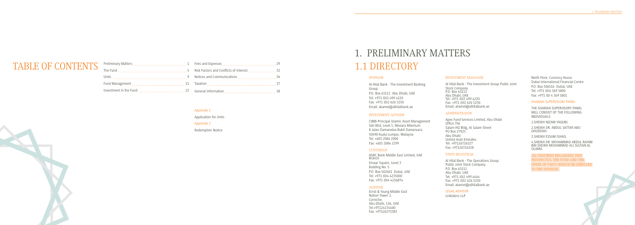#### SPONSOR

Al Hilal Bank - The Investment Banking Group P.O. Box 63111 Abu Dhabi, UAE Tel: +971 (0)2 499 4220 Fax: +971 (0)2 626 5250 Email: akamel@alhilalbank.ae

#### INVESTMENT ADVISER

CIMB-Principal Islamic Asset Management Sdn Bhd, Level 5, Menara Milenium 8 Jalan Damanelea Bukit Damansara 50490 Kuala Lumpur, Malaysia Tel: +603 2084 2000 Fax: +603 2084 2299

#### CUSTODIAN

HSBC Bank Middle East Limited, UAE Branch Emaar Square, Level 3 Building No. 5 P.O. Box 502601 Dubai, UAE Tel: +971 (0)4 4235000 Fax: +971 (0)4 4236874

#### AUDITOR

Ernst & Young Middle East Nation Tower 2, Corniche, Abu Dhabi, 136, UAE Tel:+97124174400 Fax: +97126273383

### 1.1 DIRECTORY 1. PRELIMINARY MATTERS

#### INVESTMENT MANAGER

Al Hilal Bank - The Investment Group Public Joint Stock Company P.O. Box 63111 Abu Dhabi, UAE Tel: +971 (0)2 499 4220 Fax: +971 (0)2 626 5250 Email: akamel@alhilalbank.ae

#### ADMINISTRATOR

Apex Fund Services Limited, Abu Dhabi  $O$ ffice  $704$ Salam HQ Bldg, Al Salam Street PO Box 27925 Abu Dhabi United Arab Emirates Tel: +97126726327 Fax: +97126726328

#### UNITS REGISTRAR

Al Hilal Bank - The Operations Group Public Joint Stock Company P.O. Box 63111 Abu Dhabi, UAE Tel: +971 (0)2 499 4444 Fax: +971 (0)2 626 5250 Email: akamel@alhilalbank.ae

#### LEGAL ADVISOR

Linklaters LLP

### TABLE OF CONTENTS

#### Appendix 1

Application for Units Appendix 2 Redemption Notice



Ninth Floor, Currency House Dubai International Financial Centre P.O. Box 506516 Dubai, UAE Tel: +971 (0)4 369 5800 Fax: +971 (0) 4 369 5801

#### SHARIAH SUPERVISORY PANEL

THE SHARIAH SUPERVISORY PANEL WILL CONSIST OF THE FOLLOWING INDIVIDUALS:

1.SHEIKH NIZAM YAQUBI.

2.SHEIKH DR. ABDUL SATTAR ABU GHUDDAH.

3.SHEIKH ESSAM ISHAQ.

4.SHEIKH DR. MOHAMMAD ABDUL RAHIM BIN SHEIKH MOHAMMAD ALI SULTAN AL OLAMA.

ALL INQUIRIES REGARDING THIS PROSPECTUS, THE FUND AND THE OFFER OF UNITS SHOULD BE DIRECTED TO THE SPONSOR.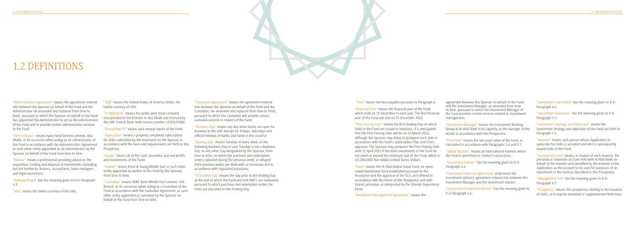"Fees" means the fees payable pursuant to Paragraph 6.

"Financial Year" means the fnancial year of the Fund, which ends on 31 December in each year. The frst fnancial year of the Fund will end on 31 December 2012.

"First Closing Date" means the frst Dealing Day on which Units in the Fund are issued to Investors. It is anticipated that the First Closing Date will be on 22 March 2012, although the Sponsor may delay or postpone such date in accordance with the Fund's Subscription Plan and SCA's approval. The Sponsor may postpone the First Closing Date until 22 April 2012 if the total investments in the Fund do not reach or exceed the minimum size of the Fund, which is (\$5,000,000) fve million United States Dollars.

"Fund" means the Al Hilal Global Sukuk Fund, an openended investment fund established pursuant to the Resolution and the approval of the SCA, and offered in accordance with the terms of this Prospectus and with Islamic principles as interpreted by the Shariah Supervisory Panel.

"Investment Management Agreement" means the

agreement between the Sponsor on behalf of the Fund and the Investment Manager, as amended from time to time, pursuant to which the Investment Manager of the Fund provides certain services related to investment management.

"Investment Manager" means the Investment Banking Group at Al Hilal Bank in its capacity as the manager of the Assets in accordance with this Prospectus.

"Fund NAV" means the net asset value of the Fund, as calculated in accordance with Paragraphs 5.6 and 5.7.

"Administrator" means Apex Fund Services Limited, Abu Dhabi, or its successor when acting as an administrator of the Fund in accordance with the Administration Agreement, or such other entity appointed as an Administrator by the Sponsor on behalf of the Fund from time to time.

"Global Markets" means all international markets where the Fund is permitted to conduct transactions.

"Investment Adviser" has the meaning given to it in Paragraph 4.6.

"Investment Advisory Agreement" shall mean the investment advisory agreement entered into between the Investment Manager and the Investment Adviser.

"Investment Committee Advisor" has the meaning given to it in Paragraph 4.4.

"Investment Committee" has the meaning given to it in Paragraph 4.4.

"Investment Guidelines" has the meaning given to it in Paragraph 2.5.

"Investment Strategy and Objectives" means the investment strategy and objectives of the Fund set forth in Paragraph 2.4.

"Investor" means each person whose Application to subscribe for Units is accepted and who is subsequently issued Units in the Fund.

"Investor Account" means, in respect of each Investor, the personal or corporate account held with Al Hilal Bank on behalf of the Investor and identifed by the Investor in the Application as the account to be used for purposes of an investment in the Fund as described in this Prospectus.

"Management Fee" has the meaning given to it in Paragraph 6.3.

"Prospectus" means this prospectus relating to the issuance of Units, as it may be amended or supplemented from time

### 1.2 DEFINITIONS

"Administration Agreement" means the agreement entered into between the Sponsor on behalf of the Fund and the Administrator (as amended and replaced from time to time) pursuant to which the Sponsor on behalf of the Fund has appointed the Administrator to act as the administrator of the Fund and to provide certain administrative services to the Fund.

"Advisor" means a professional providing advice on the acquisition, holding and disposal of investments (including, but not limited to, brokers, accountants, bank managers and legal counselors).

"Advisory Board" has the meaning given to it in Paragraph 4.3.

"AED" means the lawful currency of the UAE.

"USD" means the United States of America Dollar, the lawful currency of USA.

"Al Hilal Bank" means the public joint stock company incorporated in the Emirate of Abu Dhabi and licensed by the UAE Central Bank (with license number 13/151/2008).

"Annual Report" means each annual report of the Fund.

"Application" means a properly completed subscription for Units submitted by the Investor(s) to the Sponsor in accordance with the form and requirements set forth in this Prospectus.

"Assets" means all of the cash, securities, accrued profts and investments of the Fund.

"Auditor" means Ernst & Young Middle East or such other entity appointed as auditor to the Fund by the Sponsor, from time to time.

"Custodian" means HSBC Bank Middle East Limited, UAE Branch, or its successor when acting as a Custodian of the Fund in accordance with the Custodian Agreement, or such other entity appointed as custodian by the Sponsor on behalf of the Fund from time to time.

"Custodian Agreement" means the agreement entered into between the Sponsor on behalf of the Fund and the Custodian, (as amended and replaced from time to time), pursuant to which the Custodian will provide certain custodial services in respect of the Fund.

"Business Day" means any day when banks are open for business in the UAE (except for Fridays, Saturdays and offcial holidays of banks and funds in the country).

"Dealing Day" means Tuesday of every week; or the following Business Day in case Tuesday is not a Business Day; or any other Day designated by the Sponsor, from time to time, on which the purchase and redemption orders collected during the previous week, or delayed from previous weeks are dealt with as necessary and in accordance with stipulated provisions.

"Evaluation Day" means the day prior to the Dealing Day, at the end of which the Fund and Unit NAV's are evaluated, pursuant to which purchase and redemption orders for Units are executed on the Dealing Day.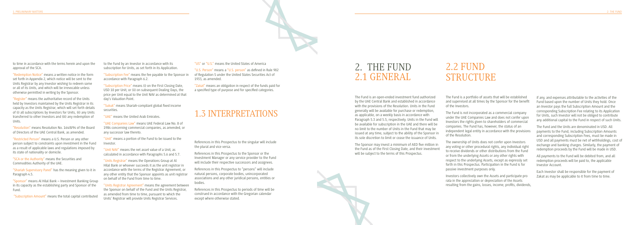### 2. THE FUND 2.1 GENERAL

The Fund is an open-ended investment fund authorized by the UAE Central Bank and established in accordance with the provisions of the Resolution. Units in the Fund generally will be available for purchase or redemption, as applicable, on a weekly basis in accordance with Paragraph 5.3 and 5.5, respectively. Units in the Fund will be available for subscription in the UAE and there will be no limit to the number of Units in the Fund that may be issued at any time, subject to the ability of the Sponsor in its sole discretion to limit or cease the issuance of Units.

The Sponsor may invest a minimum of AED fve million in the Fund as of the First Closing Date, and their investment will be subject to the terms of this Prospectus.

### 2.2 FUND STRUCTURE

The Fund is a portfolio of assets that will be established and supervised at all times by the Sponsor for the beneft of the Investors.

The Fund is not incorporated as a commercial company under the UAE Companies Law and does not confer upon Investors the rights given to shareholders of commercial companies. The Fund has, however, the status of an independent legal entity in accordance with the provisions of the Resolution.

The ownership of Units does not confer upon Investors any voting or other procedural rights, any individual right to receive dividends or other distributions from the Fund or from the underlying Assets or any other rights with respect to the underlying Assets, except as expressly set forth in this Prospectus. Participation in the Fund is for passive investment purposes only.

Investors collectively own the Assets and participate pro rata in the appreciation or depreciation of the Assets resulting from the gains, losses, income, profts, dividends,

if any, and expenses attributable to the activities of the Fund based upon the number of Units they hold. Once an Investor pays the full Subscription Amount and the corresponding Subscription Fee relating to its Application for Units, such Investor will not be obliged to contribute any additional capital to the Fund in respect of such Units.

The Fund and the Units are denominated in USD. All payments to the Fund, including Subscription Amounts and corresponding Subscription Fees, must be made in USD and all payments must be net of withholdings, cost of exchange and banking charges. Similarly, the payment of redemption proceeds by the Fund will be made in USD.

All payments to the Fund will be debited from, and all redemption proceeds will be paid to, the applicable Investor Account.

Each Investor shall be responsible for the payment of Zakat as may be applicable to it from time to time.

to time in accordance with the terms herein and upon the approval of the SCA.

"Redemption Notice" means a written notice in the form set forth in Appendix 2, which notice will be sent to the Units Registrar by any Investor wishing to redeem some or all of its Units, and which will be irrevocable unless otherwise permitted in writing by the Sponsor.

"Register" means the authoritative record of the Units held by Investors maintained by the Units Registrar in its capacity as the Units Registrar, which will set forth details of (i) all subscriptions by Investors for Units, (ii) any Units transferred to other Investors and (iii) any redemption of Units.

"Resolution" means Resolution No. 164/8/94 of the Board of Directors of the UAE Central Bank, as amended.

"Restricted Person" means a U.S. Person or any other person subject to constraints upon investment in the Fund as a result of applicable laws and regulations imposed by its state of nationality or domicile.

"SCA or the Authority" means the Securities and Commodities Authority of the UAE.

"Shariah Supervisory Panel" has the meaning given to it in Paragraph 4.5.

"Sponsor" means Al Hilal Bank – Investment Banking Group in its capacity as the establishing party and Sponsor of the Fund.

"Subscription Amount" means the total capital contributed

to the Fund by an Investor in accordance with its subscription for Units, as set forth in its Application.

"Subscription Fee" means the fee payable to the Sponsor in accordance with Paragraph 6.2.

"Subscription Price" means (i) on the First Closing Date, USD 10 per Unit, or (ii) on subsequent Dealing Days, the price per Unit equal to the Unit NAV as determined at that day's Valuation Point.

"Sukuk" means Shariah-compliant global fxed income securities.

"UAE" means the United Arab Emirates.

"UAE Companies Law" means UAE Federal Law No. 8 of 1984 concerning commercial companies, as amended, or any successor law thereto.

"Unit" means a portion of the Fund to be issued to the Investor.

"Unit NAV" means the net asset value of a Unit, as calculated in accordance with Paragraphs 5.6 and 5.7.

"Units Registrar" means the Operations Group at Al Hilal Bank or whoever succeeds it as the unit registrar in accordance with the terms of the Registrar Agreement, or any other entity that the Sponsor appoints as unit registrar on behalf of the Fund from time to time.

"Units Registrar Agreement" means the agreement between the Sponsor on behalf of the Fund and the Units Registrar, as amended from time to time, pursuant to which the Units' Registrar will provide Units Registrar Services.

"US" or "U.S." means the United States of America

"U.S. Person" means a "U.S. person" as defned in Rule 902 of Regulation S under the United States Securities Act of 1933, as amended.

"Zakat" means an obligation in respect of the funds paid for a specifed type of purpose and for specifed categories.

### 1.3 INTERPRETATIONS

References in this Prospectus to the singular will include the plural and vice versa.

References in this Prospectus to the Sponsor or the Investment Manager or any service provider to the Fund will include their respective successors and assignees.

References in this Prospectus to "persons" will include natural persons, corporate bodies, unincorporated associations and any other juridical persons, entities or bodies.

References in this Prospectus to periods of time will be construed in accordance with the Gregorian calendar except where otherwise stated.



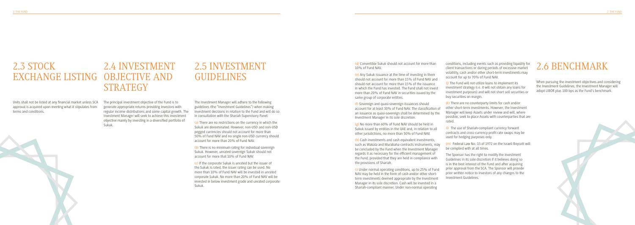conditions, including events such as providing liquidity for client transactions or during periods of excessive market volatility, cash and/or other short-term investments may account for up to 70% of Fund NAV.

### 2.5 INVESTMENT GUIDELINES

The Investment Manager will adhere to the following guidelines (the "Investment Guidelines") when making investment decisions in relation to the Fund and will do so in consultation with the Shariah Supervisory Panel:

(a) There are no restrictions on the currency in which the Sukuk are denominated. However, non-USD and non-USD pegged currencies should not account for more than 50% of Fund NAV and no single non-USD currency should account for more than 20% of Fund NAV.

(b) There is no minimum rating for individual sovereign Sukuk. However, unrated sovereign Sukuk should not account for more that 10% of Fund NAV.

(c) If the corporate Sukuk is unrated but the issuer of the Sukuk is rated, the issuer rating can be used. No more than 10% of Fund NAV will be invested in unrated corporate Sukuk. No more than 20% of Fund NAV will be invested in below investment grade and unrated corporate Sukuk.

(j) The Fund will not utilize loans to implement its investment strategy (i.e. it will not obtain any loans for investment purposes) and will not short sell securities or buy securities on margin.

(k) There are no counterparty limits for cash and/or other short-term investments. However, the Investment Manager will keep Assets under review and will, where possible, seek to place Assets with counterparties that are rated.

(l) The use of Shariah-compliant currency forward contracts and cross-currency proft rate swaps may be used for hedging purposes only.

### 2.3 STOCK EXCHANGE LISTING OBJECTIVE AND 2.4 INVESTMENT **STRATEGY**

(m) Federal Law No. 15 of 1972 on the Israeli Boycott will be complied with at all times.

The Sponsor has the right to modify the Investment Guidelines in its sole discretion if it believes doing so is in the best interest of the Fund and after acquiring prior approval from the SCA. The Sponsor will provide prior written notice to Investors of any changes to the Investment Guidelines.

(d) Convertible Sukuk should not account for more than 10% of Fund NAV.

(e) Any Sukuk issuance at the time of investing in them should not account for more than 15% of Fund NAV and should not account for more than 15% of the issuance in which the Fund has invested. The Fund shall not invest more than 20% of Fund NAV in securities issued by the same group of corporate entities.

(f) Sovereign and quasi-sovereign issuances should account for at least 30% of Fund NAV. The classifcation of an issuance as quasi-sovereign shall be determined by the Investment Manager in its sole discretion.

(g) No more than 60% of Fund NAV should be held in Sukuk issued by entities in the UAE and, in relation to all other jurisdictions, no more than 50% of Fund NAV.

(h) Cash investments and cash equivalent investments, such as Wakala and Murabaha contracts instruments, may be concluded by the Fund when the Investment Manager regards it as necessary for the effcient management of the Fund, provided that they are held in compliance with the provisions of Shariah.

(i) Under normal operating conditions, up to 25% of Fund NAV may be held in the form of cash and/or other shortterm investments deemed appropriate by the Investment Manager in its sole discretion. Cash will be invested in a Shariah-compliant manner. Under non-normal operating

Units shall not be listed at any fnancial market unless SCA approval is acquired upon meeting what it stipulates from terms and conditions.

The principal investment objective of the Fund is to generate appropriate returns providing Investors with regular income distributions and some capital growth. The Investment Manager will seek to achieve this investment objective mainly by investing in a diversifed portfolio of Sukuk.

### 2.6 BENCHMARK

When pursuing the investment objectives and considering the Investment Guidelines, the Investment Manager will adopt LIBOR plus 100 bps as the Fund's benchmark.

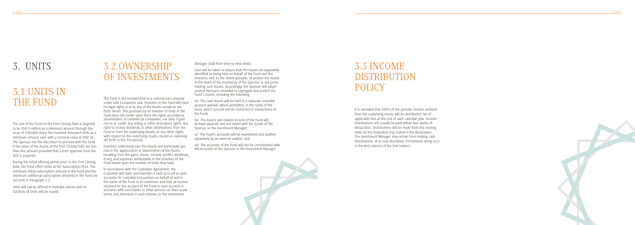### 3.2 OWNERSHIP OF INVESTMENTS

The Fund is not incorporated as a commercial company under UAE Companies Law. Investors in the Fund will have no legal rights in or to any of the Assets except as set forth herein. The purchase by an Investor of Units in the Fund does not confer upon them the rights accorded to shareholders of commercial companies, nor does it give rise to or confer any voting or other procedural rights, any right to receive dividends or other distributions from the Fund or from the underlying Assets, or any other rights with respect to the underlying Assets, except as expressly set forth in this Prospectus.

Investors collectively own the Assets and participate pro rata in the appreciation or depreciation of the Assets resulting from the gains, losses, income, profts, dividends, if any, and expenses attributable to the activities of the Fund based upon the number of Units they hold.

In accordance with the Custodian Agreement, the Custodian will open and maintain a cash account or cash accounts for custodial transactions on behalf of and in the name of the Fund or its nominees and hold all monies received for the account of the Fund in such account or accounts with such banks or other persons on their usual terms and otherwise in such manner as the Investment

Manager shall from time to time direct.

Care will be taken to ensure that the Assets are separately identifed as being held on behalf of the Fund and the Investors and, to the extent possible, to protect the Assets in the event of the insolvency of the Sponsor or any party holding such Assets. Accordingly, the Sponsor will adopt several measures intended to segregate and protect the Fund's Assets, including the following:

(a) The cash Assets will be held in a separate custodial account opened, where permitted, in the name of the Fund, which account will be restricted to transactions of the Fund;

(b) The Assets and related income of the Fund will be kept separate and not mixed with the assets of the Sponsor or the Investment Manager;

(c) The Fund's accounts will be maintained and audited separately by an external auditor; and

(d) The accounts of the Fund will not be consolidated with the accounts of the Sponsor or the Investment Manager.



### 3.3 INCOME DISTRIBUTION POLICY

It is intended that 100% of the periodic income received from the underlying Assets will be distributed, net of applicable fees at the end of each calendar year. Income Distributions will usually be paid within four weeks of declaration. Distributions will be made from the existing Units on the Evaluation Day stated in the declaration. The Investment Manager may refrain from making cash distributions, at its sole discretion, if it believes doing so is in the best interest of the Unit holders.



### 3. UNITS

### 3.1 UNITS IN THE FUND

The size of the Fund on the First Closing Date is targeted to be USD 5 million as a minimum amount through the issue of (500,000 Units) fve hundred thousand Units as a minimum amount each with a nominal value of USD 10. The Sponsor has the discretion to proceed with the Fund if the value of the Assets at the First Closing Date are less than this amount provided that a prior approval from the SCA is acquired.

During the initial offering period prior to the First Closing Date, the Fund offers Units at the Subscription Price. The minimum initial subscription amount in the Fund and the minimum additional subscription amounts in the Fund are set forth in Paragraph 5.2.

Units will not be offered in multiple classes and no fractions of Units will be issued.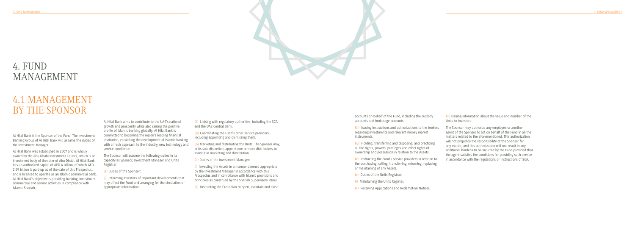Al Hilal Bank is the Sponsor of the Fund. The Investment Banking Group of Al Hilal Bank will assume the duties of the Investment Manager.

Al Hilal Bank was established in 2007 and is wholly owned by the Abu Dhabi Investment Council, which is an investment body of the ruler of Abu Dhabi. Al Hilal Bank has an authorized capital of AED 4 billion, of which AED 2.59 billion is paid up as of the date of this Prospectus, and is licensed to operate as an Islamic commercial bank. Al Hilal Bank's objective is providing banking, investment, commercial and service activities in compliance with Islamic Shariah.

(ii) Liaising with regulatory authorities, including the SCA and the UAE Central Bank.

Al Hilal Bank aims to contribute to the UAE's national growth and prosperity while also raising the positive profle of Islamic banking globally. Al Hilal Bank is committed to becoming the region's leading fnancial institution, escalating the development of Islamic banking with a fresh approach to the industry, new technology and service excellence.

The Sponsor will assume the following duties in its capacity as Sponsor, Investment Manager and Units Registrar:

(a) Duties of the Sponsor:

(i) Informing Investors of important developments that may affect the Fund and arranging for the circulation of appropriate information.

(iii) Coordinating the Fund's other service providers, including appointing and dismissing them.

(iv) Marketing and distributing the Units. The Sponsor may, in its sole discretion, appoint one or more distributors to assist it in marketing and distribution.

(b) Duties of the Investment Manager:

(i) Investing the Assets in a manner deemed appropriate by the Investment Manager in accordance with this Prospectus and in compliance with Islamic provisions and principles as construed by the Shariah Supervisory Panel.

(ii) Instructing the Custodian to open, maintain and close

accounts on behalf of the Fund, including the custody accounts and brokerage accounts.

(iii) Issuing instructions and authorizations to the brokers regarding investments and relevant money market instruments.

(iv) Holding, transferring and disposing, and practicing all the rights, powers, privileges and other rights of ownership and possession in relation to the Assets.

(v) Instructing the Fund's service providers in relation to the purchasing, selling, transferring, returning, replacing or maintaining of any Assets.

- (c) Duties of the Units Registrar:
- (i) Maintaining the Units Register.
- (ii) Receiving Applications and Redemption Notices.

### 4. FUND MANAGEMENT

### 4.1 MANAGEMENT BY THE SPONSOR

(iii) Issuing information about the value and number of the Units to Investors.

The Sponsor may authorize any employee or another agent of the Sponsor to act on behalf of the Fund in all the matters related to the aforementioned. This authorization will not prejudice the responsibility of the Sponsor for any matter, and this authorization will not result in any additional burdens to be incurred by the Fund provided that the agent satisfes the conditions for providing such service in accordance with the regulations or instructions of SCA.

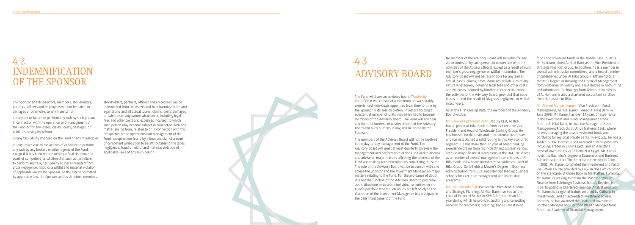### 4.3 ADVISORY BOARD

The Fund will have an advisory board ("Authority Board")that will consist of a minimum of two suitably experienced individuals appointed from time to time by the Sponsor in its sole discretion. Investors holding a substantial number of Units may be invited to become members of the Advisory Board. The Fund will not bear any fnancial burdens of whatever form of the Advisory Board and such burdens, if any, will be borne by the Sponsor.

The members of the Advisory Board will not be involved in the day-to-day management of the Fund. The Advisory Board will meet at least quarterly to review the management and performance of the Fund and to discuss and advise on major matters affecting the interests of the Fund and making recommendations concerning the same. The role of the Advisory Board will be to consult with and advise the Sponsor and the Investment Manager on major matters relating to the Fund. For the avoidance of doubt, it is not the function of the Advisory Board to prescribe asset allocation or to select individual securities for the Fund's portfolio where such issues are left solely to the discretion of the Investment Manager or to participate in the daily management of the Fund.

No member of the Advisory Board will be liable for any act or omission by such person in connection with the activities of the Advisory Board, except as a result of such member's gross negligence or willful misconduct. The Advisory Board will not be responsible for any and all actual losses, claims, costs, damages or liabilities of any nature whatsoever, including legal fees and other costs and expenses incurred by him/her in connection with the activities of the Advisory Board, provided that such losses are not the result of his gross negligence or willful misconduct.

As at the First Closing Date, the members of the Advisory Board will be:

Mr. Sarie Asaad Ahmed Arar (Deputy CEO, Al Hilal Bank): joined Al Hilal Bank in 2008 as Executive Vice President and Head of Wholesale Banking Group. He has focused on domestic and international businesses and has established a solid footing in this key economic segment. He has more than 22 year of broad banking experience drawn from his in-depth exposure in various areas in major fnancial institutions in the UAE. He serves as a member of several management committees of Al Hilal Bank and a board member of subsidiaries under Al Hilal Group. Sarie holds a Master's Degree in Business Administration from USA and attended leading business schools for executive management and leadership programs.

Mr. Haitham Adeimah (Senior Vice President- Finance and Strategic Planning, Al Hilal Bank): served as the Chief of Financial Sector in KPMG for more than 10 year during which he provided auditing and consulting services for customers; including, banks, investment

funds and sovereign funds in the Middle East. In 2010, Mr. Haitham joined Al Hilal Bank as the Vice President of Strategic Financial Group. In addition, he is a member in several administrative committees, and a board member of subsidiaries under Al Hilal Group. Haitham holds a Master's Degree in Banking and Financial Management from Sorbonne University and a B.A degree in Accounting and Information Technology from Toledo University in USA. Haitham is also a chartered accountant certifed from Hampshire in USA.

Mr. Ahmed Mohsen Kamel, (Vice President - Fund Management, Al Hilal Bank): joined Al Hilal Bank in June 2008. Mr. Kamel has over 17 years of experience in the Investment and Funds Management arena. Prior to Al Hilal Bank, he was the Manager of Asset Management Products at Union National Bank, where he was managing the local investment funds and portfolios for regional private banks. Previously, he was a Trader in EFG- Hermes, then occupied several positions; including, Trader in CIB in Egypt, and an Assistant Head of Investments at Citibank N.A Egypt. Mr. Kamel holds the Bachelor's degree in Economics and Business Administration from The American University in Cairo. In 2001, Mr. Kamel completed the Investment and Fund Evaluation Course provided by EFG- Hermes which based on the standards of Chase Bank in Manhattan. Currently, Mr. Kamel is seeking to obtain the Master degree in Finance from Edinburgh Business School. Besides, He is participating in Chartered Financial Analyst program. Mr. Kamel is a regional trainer certifed by Citibank in investments, and an accredited investment adviser. Recently, he has awarded the Chartered Investment Portfolio Manager and Certifed Wealth Manager from American Academy of Financial Management.

### 4.2 INDEMNIFICATION OF THE SPONSOR

The Sponsor and its directors, members, stockholders, partners, offcers and employees will not be liable, in damages or otherwise, to any Investor for:

(a) any act or failure to perform any task by such person in connection with the operation and management of the Fund or for any losses, claims, costs, damages, or liabilities arising therefrom;

(b)any tax liability imposed on the Fund or any Investor; or

(c) any losses due to the actions of or failure to perform any task by any brokers or other agents of the Fund, except if it has been determined by a fnal decision of a court of competent jurisdiction that such act or failure to perform any task, tax liability or losses resulted from gross negligence, fraud or a willful and material violation of applicable law by the Sponsor. To the extent permitted by applicable law, the Sponsor and its directors, members,

stockholders, partners, offcers and employees will be indemnifed from the Assets and held harmless from and against any and all actual losses, claims, costs, damages or liabilities of any nature whatsoever, including legal fees and other costs and expenses incurred, to which such person may become subject in connection with any matter arising from, related to or in connection with this Prospectus or the operations and management of the Fund, except where found by a fnal decision of a court of competent jurisdiction to be attributable to the gross negligence, fraud or willful and material violation of applicable laws of any such person.

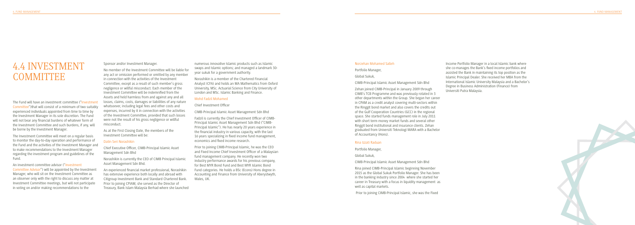Income Portfolio Manager in a local Islamic bank where she co-manages the Bank's fxed income portfolios and assisted the Bank in maintaining its top position as the Islamic Principal Dealer. She received her MBA from the International Islamic University Malaysia and a Bachelor's Degree in Business Administration (Finance) from Universiti Putra Malaysia.



#### Norzehan Mohamed Salleh

Portfolio Manager,

Global Sukuk,

CIMB-Principal Islamic Asset Management Sdn Bhd

### 4.4 INVESTMENT **COMMITTEE**

Zehan joined CIMB-Principal in January 2009 through CIMB's TCB Programme and was previously rotated in 3 other departments within the Group. She began her career in CPAM as a credit analyst covering multi-sectors within the Ringgit bond market and also covers the credits out of the Gulf Cooperation Countries (GCC) in the regional space. She started funds management role in July 2011 with short term money market funds and several other Ringgit bond institutional and insurance clients. Zehan graduated from Universiti Teknologi MARA with a Bachelor of Accountancy (Hons).

#### Rina Izzati Raduan

Portfolio Manager,

Global Sukuk,

CIMB-Principal Islamic Asset Management Sdn Bhd

Rina joined CIMB-Principal Islamic beginning November 2015 as the Global Sukuk Portfolio Manager. She has been in the banking industry since 2004 where she started her career in Treasury with a focus in liquidity management as well as capital markets.

Prior to joining CIMB-Principal Islamic, she was the Fixed

numerous innovative Islamic products such as Islamic swaps and Islamic options; and managed a landmark 30 year sukuk for a government authority.

Norashikin is a member of the Chartered Financial Analyst (CFA) and holds an MA Mathematics from Oxford University, MSc. Actuarial Science from City University of London and MSc. Islamic Banking and Finance.

#### Mohd Fadzil Mohamed

#### Chief Investment Offcer

CIMB-Principal Islamic Asset Management Sdn Bhd

Fadzil is currently the Chief Investment Offcer of CIMB-Principal Islamic Asset Management Sdn Bhd ("CIMB-Principal Islamic"). He has nearly 20 years experience in the fnancial industry in various capacity, with the last 16 years specializing in fxed income fund management, economics and fxed income research.

Prior to joining CIMB-Principal Islamic, he was the CEO and Fixed Income Chief Investment Offcer of a Malaysian fund management company. He recently won two industry performance awards for his previous company, for Best MYR Bond Fund and Best MYR Islamic Bond Fund categories. He holds a BSc (Econs) Hons degree in Accounting and Finance from University of Aberystwyth, Wales, UK.

The Fund will have an investment committee ("Investment Committee")that will consist of a minimum of two suitably experienced individuals appointed from time to time by the Investment Manager in its sole discretion. The Fund will not bear any fnancial burdens of whatever form of the Investment Committee and such burdens, if any, will be borne by the Investment Manager.

The Investment Committee will meet on a regular basis to monitor the day-to-day operation and performance of the Fund and the activities of the Investment Manager and to make recommendations to the Investment Manager regarding the investment program and guidelines of the Fund.

An investment committee advisor ("Investment Committee Advisor") will be appointed by the Investment Manager, who will sit on the Investment Committee as an observer only with the right to discuss any matter at Investment Committee meetings, but will not participate in voting on and/or making recommendations to the

Sponsor and/or Investment Manager.

No member of the Investment Committee will be liable for any act or omission performed or omitted by any member in connection with the activities of the Investment Committee, except as a result of such member's gross negligence or willful misconduct. Each member of the Investment Committee will be indemnifed from the Assets and held harmless from and against any and all losses, claims, costs, damages or liabilities of any nature whatsoever, including legal fees and other costs and expenses, incurred by it in connection with the activities of the Investment Committee, provided that such losses were not the result of his gross negligence or willful misconduct.

As at the First Closing Date, the members of the Investment Committee will be:

#### Datin Seri Norashikin

Chief Executive Offcer, CIMB-Principal Islamic Asset Management Sdn Bhd

Norashikin is currently the CEO of CIMB Principal Islamic Asset Management Sdn Bhd.

An experienced fnancial market professional, Norashikin has extensive experience both locally and abroad with Citigroup Investment Bank and Standard Chartered Bank. Prior to joining CPIAM, she served as the Director of Treasury, Bank Islam Malaysia Berhad where she launched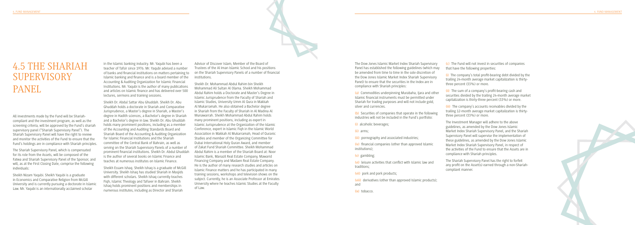in the Islamic banking industry. Mr. Yaqubi has been a teacher of Tafsir since 1976. Mr. Yaqubi advised a number of banks and fnancial institutions on matters pertaining to Islamic banking and fnance and is a board member of the Accounting & Auditing Organization for Islamic Financial Institutions. Mr. Yaqubi is the author of many publications and articles on Islamic fnance and has delivered over 500 lectures, sermons and training sessions.

Sheikh Dr. Abdul Sattar Abu Ghuddah. Sheikh Dr. Abu Ghuddah holds a doctorate in Shariah and Comparative Jurisprudence, a Master's degree in Shariah, a Master's degree in Hadith sciences, a Bachelor's degree in Shariah and a Bachelor's degree in law. Sheikh Dr. Abu Ghuddah holds many prominent positions, including as a member of the Accounting and Auditing Standards Board and Shariah Board of the Accounting & Auditing Organization for Islamic Financial Institutions and the Shariah committee of the Central Bank of Bahrain, as well as serving on the Shariah Supervisory Panels of a number of prominent fnancial institutions. Sheikh Dr. Abdul Ghuddah is the author of several books on Islamic Finance and teaches at numerous institutes on Islamic Finance.

Sheikh Essam Ishaq. Sheikh Ishaq is a graduate of McGill University. Sheikh Ishaq has studied Shariah in Masjids with different scholars. Sheikh Ishaq currently teaches Fiqh, Islamic Theology and Tafseer in Bahrain. Sheikh Ishaq holds prominent positions and memberships in numerous institutes, including as Director and Shariah

Advisor of Discover Islam, Member of the Board of Trustees of the Al Iman Islamic School and his positions on the Shariah Supervisory Panels of a number of fnancial institutions.

Sheikh Dr. Mohammad Abdul Rahim bin Sheikh Mohammad Ali Sultan Al Olama. Sheikh Mohammad Abdul Rahim holds a Doctorate and Master's Degree in Islamic Jurisprudence from the Faculty of Shariah and Islamic Studies, University Umm Al Qura in Makkah Al Mukarramah. He also obtained a Bachelor degree in Shariah from the Faculty of Shariah in Al Madina Al Munawarrah. Sheikh Mohammad Abdul Rahim holds many prominent positions, including as expert in Islamic Jurisprudence at the Organization of the Islamic Conference, expert in Islamic Fiqh in the Islamic World Association in Makkah Al Mukarramah, Head of Quranic Studies and member of the Organizing Committee for Dubai International Holy Quran Award, and member of Zakat Fund Shariah Committee. Sheikh Mohammad Abdul Rahim is a member of the Shariah Board at: Noor Islamic Bank, Manazil Real Estate Company, Mawarid Financing Company and Madaen Real Estate Company. He is the author of many research studies and articles on Islamic Finance matters and he has participated in many training sessions, workshops and television shows on the subject. Currently, he is an Associate Professor at Emirates University where he teaches Islamic Studies at the Faculty of Law.

(c) The Fund will not invest in securities of companies that have the following properties:

(i) The company's total proft-bearing debt divided by the trailing 24-month average market capitalization is thirtythree percent (33%) or more.

(ii) The sum of a company's proft-bearing cash and securities divided by the trailing 24-month average market capitalization is thirty-three percent (33%) or more.

(iii) The company's accounts receivables divided by the trailing 12-month average market capitalization is thirtythree percent (33%) or more.

The Investment Manager will adhere to the above guidelines, as amended by the Dow Jones Islamic Market Index Shariah Supervisory Panel, and the Shariah Supervisory Panel will supervise the implementation of these guidelines, as amended by the Dow Jones Islamic Market Index Shariah Supervisory Panel, in respect of the activities of the Fund to ensure that the Assets are in compliance with Shariah principles.

The Shariah Supervisory Panel has the right to forfeit any proft on the Asset(s) earned through a non-Shariahcompliant manner.



The Dow Jones Islamic Market Index Shariah Supervisory Panel has established the following guidelines (which may be amended from time to time in the sole discretion of the Dow Jones Islamic Market Index Shariah Supervisory Panel) to ensure that the securities in the Index are in compliance with Shariah principles:

(a) Commodities underpinning Murabaha, Ijara and other Islamic fnancial instruments must be permitted under Shariah for trading purposes and will not include gold, silver and currencies.

(b) Securities of companies that operate in the following industries will not be included in the Fund's portfolio:

(i) alcoholic beverages;

(ii) arms;

(iii) pornography and associated industries;

(iv) fnancial companies (other than approved Islamic institutions);

(v) gambling;

(vi) leisure activities that confict with Islamic law and traditions;

(vii) pork and pork products;

(viii) derivatives (other than approved Islamic products); and

(ix) tobacco.

### 4.5 THE SHARIAH SUPERVISORY PANEL

All investments made by the Fund will be Shariahcompliant and the investment program, as well as the screening criteria, will be approved by the Fund's shariah supervisory panel ("Shariah Supervisory Panel"). The Shariah Supervisory Panel will have the right to review and monitor the activities of the Fund to ensure that the Fund's holdings are in compliance with Shariah principles.

The Shariah Supervisory Panel, which is compensated for its role from the Assets, will be composed of the Fatwa and Shariah Supervisory Panel of the Sponsor, and will, as at the First Closing Date, comprise the following individuals:

Sheikh Nizam Yaqubi. Sheikh Yaqubi is a graduate in Economics and Comparative Religion from McGill University and is currently pursuing a doctorate in Islamic Law. Mr. Yaqubi is an internationally acclaimed scholar

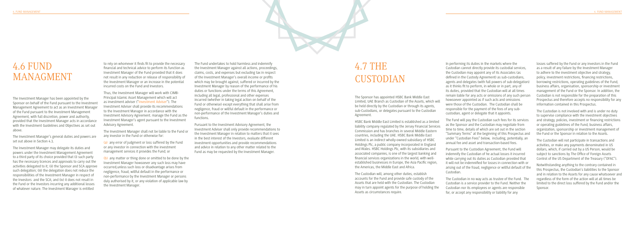# 4. FUND MANAGEMENT Annual Communication of the Communication of the Communication of the Communication of the Communication of the Communication of the Communication of the Communication of the Communication of the Communi

### 4.7 THE CUSTODIAN

The Sponsor has appointed HSBC Bank Middle East Limited, UAE Branch as Custodian of the Assets, which will be held directly by the Custodian or through its agents, sub-Custodians, or delegates pursuant to the Custodian Agreement.

HSBC Bank Middle East Limited is established as a limited liability company regulated by the Jersey Financial Services Commission and has branches in several Middle Eastern countries, including the UAE. HSBC Bank Middle East Limited is an indirect wholly-owned subsidiary of HSBC Holdings Plc, a public company incorporated in England and Wales. HSBC Holdings Plc, with its subsidiaries and associated companies, is one of the largest banking and fnancial services organizations in the world, with wellestablished businesses in Europe, the Asia Pacifc region, the Americas, the Middle East and Africa.

The Custodian will, among other duties, establish accounts for the Fund and provide safe custody of the Assets that are held with the Custodian. The Custodian may in turn appoint agents for the purpose of holding the Assets as circumstances require.

In performing its duties in the markets where the Custodian cannot directly provide its custodial services, the Custodian may appoint any of its Associates (as defned in the Custody Agreement) as sub-custodians, agents and delegates (with full powers of sub-delegation) as it thinks ft to perform, in whole or in part, any of its duties, provided that the Custodian will at all times remain liable for any acts or omissions of any such person howsoever appointed as if such acts and omissions were those of the Custodian. The Custodian shall be responsible for the payment of the fees of any subcustodian, agent or delegate that it appoints.

The Fund will pay the Custodian such fees for its services as the Sponsor and the Custodian may negotiate from time to time, details of which are set out in the section "Summary Terms" at the beginning of this Prospectus and under "Custodian Fees" below, including, potentially, an annual fee and asset and transaction-based fees.

Pursuant to the Custodian Agreement, the Fund will indemnify the Custodian of he actual losses it incurred while carrying out its duties as Custodian provided that it will not be indemnifed for losses in connection with or arising out of the fraud, negligence or willful default of the Custodian.

The Custodian in no way acts as trustee of the Fund. The Custodian is a service provider to the Fund. Neither the Custodian nor its employees or agents are responsible for, or accept any responsibility or liability for any

losses suffered by the Fund or any investors in the Fund as a result of any failure by the Investment Manager to adhere to the investment objective and strategy, policy, investment restrictions, fnancing restrictions, borrowing restrictions, operating guidelines of the Fund, business affairs, organisation, sponsorship or investment management of the Fund or the Sponsor. In addition, the Custodian is not responsible for the preparation of this Prospectus and therefore accepts no responsibility for any information contained in this Prospectus.

The Custodian is not involved with and is under no duty to supervise compliance with the investment objectives and strategy, policies, investment or fnancing restrictions or operating guidelines of the Fund, business affairs, organization, sponsorship or investment management of the Fund or the Sponsor in relation to the Assets.

The Custodian will not participate in transactions and activities, or make any payments denominated in US dollars, which, if carried out by a US Person, would be subject to sanctions by The Offce of Foreign Assets Control of the US Department of the Treasury ("OFAC").

Notwithstanding anything to the contrary contained in this Prospectus, the Custodian's liabilities to the Sponsor and in relation to the Assets for any cause whatsoever and regardless of the form of the action will at all times be limited to the direct loss suffered by the Fund and/or the Sponsor.

### 4.6 FUND MANAGMENT

The Investment Manager has been appointed by the Sponsor on behalf of the Fund pursuant to the Investment Management Agreement to act as an Investment Manage of the Fund pursuant to the Investment Management Agreement, with full discretion, power and authority, provided that the Investment Manager acts in accordance with the Investment Guidelines and Objectives as set out above.

The Investment Manager's general duties and powers are set out above in Section 4.1.

The Investment Manager may delegate its duties and powers under the Investment Management Agreement to a third party of its choice provided that (i) such party has the necessary licences and approvals to carry out the activities delegated to it; (ii) the Sponsor and SCA approve such delegation; (iii) the delegation does not reduce the responsibilities of the Investment Manager in respect of the Investors and the SCA; and (iv) it does not result in the Fund or the Investors incurring any additional losses of whatever nature. The Investment Manager is entitled

to rely on whomever it fnds ft to provide the necessary fnancial and technical advice to perform its function as Investment Manager of the Fund provided that it does not result in any reduction or release of responsibility of the Investment Manager or an increase in the potential incurred costs on the Fund and Investors.

Thus, the Investment Manager will work with CIMB-Principal Islamic Asset Management which will act as investment adviser ("Investment Adviser"). The Investment Adviser shall provide its recommendations to the Investment Manager in accordance with the Investment Advisory Agreement. manage the Fund as the Investment Manager's agent pursuant to the Investment Advisory Agreement.

The Investment Manager shall not be liable to the Fund or any investor in the Fund or otherwise for:

(a) any error of judgment or loss suffered by the Fund or any investor in connection with the investment management services it provides the Fund; or

(b) any matter or thing done or omitted to be done by the Investment Manager howsoever any such loss may have occurred,unless such loss or disadvantage arises from negligence, fraud, willful default in the performance or non-performance by the Investment Manager or persons duly authorised by it, or any violation of applicable law by the Investment Manager.

The Fund undertakes to hold harmless and indemnify the Investment Manager against all actions, proceedings, claims, costs, and expenses but excluding tax in respect of the Investment Manager's overall income or profts which may be brought against, suffered or incurred by the Investment Manager by reason of the performance of his duties or functions under the terms of this Agreement, including all legal, professional and other expenses incurred (whether in taking legal action on behalf of the Fund or otherwise) except everything that shall arise from negligence, fraud or willful default in the performance or non-performance of the Investment Manager's duties and functions.

Pursuant to the Investment Advisory Agreement, the Investment Adviser shall only provide recommendations to the Investment Manager in relation to matters that it sees in the best interest of the Investors, evaluate different investment opportunities and provide recommendations and advice in relation to any other matter related to the Fund as may be requested by the Investment Manager.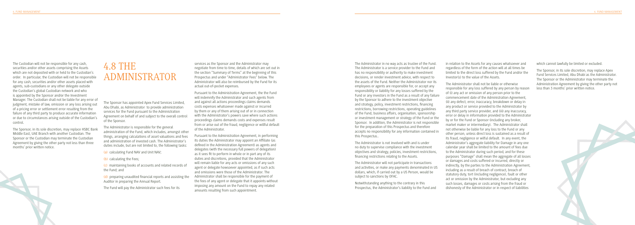### 4.8 THE ADMINISTRATOR

The Sponsor has appointed Apex Fund Services Limited, Abu Dhabi, as Administrator to provide administration services for the Fund pursuant to the Administration Agreement on behalf of and subject to the overall control of the Sponsor.

The Administrator is responsible for the general administration of the Fund, which includes, amongst other things, arranging calculations of asset valuations and fees and administration of invested cash. The Administrator's duties include, but are not limited to, the following tasks:

(a) calculating Fund NAV and Unit NAV;

(b) calculating the Fees;

(c) maintaining books of accounts and related records of the Fund; and

(d) preparing unaudited fnancial reports and assisting the Auditor in preparing the Annual Report.

The Fund will pay the Administrator such fees for its

services as the Sponsor and the Administrator may negotiate from time to time, details of which are set out in the section "Summary of Terms" at the beginning of this Prospectus and under "Administrator Fees" below. The Administrator will also be reimbursed by the Fund for its actual out-of-pocket expenses.

Pursuant to the Administration Agreement, the the Fund will indemnify the Administrator and such agents from and against all actions proceedings claims demands costs expenses whatsoever made against or incurred by them or any of them arising out of or in connection with the Administrator's powers save where such actions proceedings claims demands costs and expenses result from or arise out of the fraud, negligence or willful default of the Administrator.

Pursuant to the Administration Agreement, in performing its duties the Administrator may appoint an Affliate (as defned in the Administration Agreement) as agents and delegates (with the necessary full powers of delegation) as it sees ft to perform in whole or in part any of its duties and discretions, provided that the Administrator will remain liable for any acts or omissions of any such agent or delegate howsoever appointed, as if such acts and omissions were those of the Administrator. The Administrator shall be responsible for the payment of the fees of any agent or delegate that it appoints without imposing any amount on the Fund to repay any related amounts resulting from such appointment.

The Administrator in no way acts as trustee of the Fund. The Administrator is a service provider to the Fund and has no responsibility or authority to make investment decisions, or render investment advice, with respect to the assets of the Fund. Neither the Administrator nor its employees or agents are responsible for, or accept any responsibility or liability for any losses suffered by the Fund or any investors in the Fund as a result of any failure by the Sponsor to adhere to the investment objective and strategy, policy, investment restrictions, fnancing restrictions, borrowing restrictions, operating guidelines of the Fund, business affairs, organisation, sponsorship or investment management or strategy of the Fund or the Sponsor. In addition, the Administrator is not responsible for the preparation of this Prospectus and therefore accepts no responsibility for any information contained in this Prospectus..

The Administrator is not involved with and is under no duty to supervise compliance with the investment objectives and strategy, policies, investment restrictions, fnancing restrictions relating to the Assets.

The Administrator will not participate in transactions and activities, or make any payments denominated in US dollars, which, if carried out by a US Person, would be subject to sanctions by OFAC.

Notwithstanding anything to the contrary in this Prospectus, the Administrator's liability to the Fund and in relation to the Assets for any causes whatsoever and regardless of the form of the action will at all times be limited to the direct loss suffered by the Fund and/or the Investor(s) to the value of the Assets.

The Administrator shall not be liable or otherwise responsible for any loss suffered by any person by reason of (i) any act or omission of any person prior to the commencement date of the Administration Agreement, (ii) any defect, error, inaccuracy, breakdown or delay in any product or service provided to the Administrator by any third party service provider, and (iii) any inaccuracy, error or delay in information provided to the Administrator by or for the Fund or Sponsor (including any broker, market maker or intermediary). The Administrator shall not otherwise be liable for any loss to the Fund or any other person, unless direct loss is sustained as a result of its fraud, negligence or wilful default. In any event, the Administrator's aggregate liability for Damage in any one calendar year shall be limited to the amount of fees due to the Administrator during such period, and for these purposes "Damage" shall mean the aggregate of all losses or damages and costs suffered or incurred, directly or indirectly, by the parties to the Administration Agreement, including as a result of breach of contract, breach of statutory duty, tort (including negligence), fault or other act or omission by the Administrator, but excluding any such losses, damages or costs arising from the fraud or dishonesty of the Administrator or in respect of liabilities

which cannot lawfully be limited or excluded.

The Sponsor, in its sole discretion, may replace Apex Fund Services Limited, Abu Dhabi as the Administrator. The Sponsor or the Administrator may terminate the Administration Agreement by giving the other party not less than 3 months' prior written notice.



The Custodian will not be responsible for any cash, securities and/or other assets comprising the Assets which are not deposited with or held to the Custodian's order. In particular, the Custodian will not be responsible for any cash, securities and/or other assets placed with agents, sub-custodians or any other delegate outside the Custodian's global Custodian network and who is appointed by the Sponsor and/or the Investment Manager. The Custodian shall not be liable for any error of judgment, mistake of law, omission or any loss arising out of a pricing error or settlement error resulting from the failure of any third party to produce accurate information or due to circumstances arising outside of the Custodian's control.

The Sponsor, in its sole discretion, may replace HSBC Bank Middle East, UAE Branch with another Custodian. The Sponsor or the Custodian may terminate the Custodian Agreement by giving the other party not less than three months' prior written notice.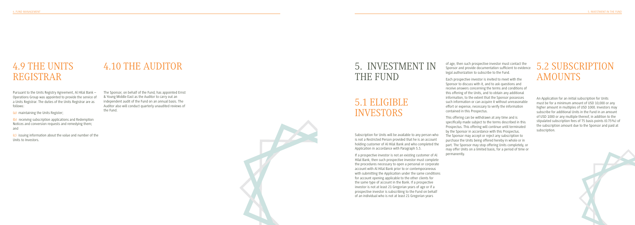### 5. INVESTMENT IN THE FUND

### 5.1 ELIGIBLE INVESTORS

Subscription for Units will be available to any person who is not a Restricted Person provided that he is an account holding customer of Al Hilal Bank and who completed the Application in accordance with Paragraph 5.3.

If a prospective investor is not an existing customer of Al Hilal Bank, then such prospective investor must complete the procedures necessary to open a personal or corporate account with Al Hilal Bank prior to or contemporaneous with submitting the Application under the same conditions for account opening applicable to the other clients for the same type of account in the Bank. If a prospective investor is not at least 21 Gregorian years of age or if a prospective investor is subscribing to the Fund on behalf of an individual who is not at least 21 Gregorian years

of age, then such prospective investor must contact the Sponsor and provide documentation sufficient to evidence legal authorization to subscribe to the Fund.

Each prospective investor is invited to meet with the Sponsor to discuss with it, and to ask questions and receive answers concerning the terms and conditions of this offering of the Units, and to obtain any additional information, to the extent that the Sponsor possesses such information or can acquire it without unreasonable effort or expense, necessary to verify the information contained in this Prospectus.

This offering can be withdrawn at any time and is specifcally made subject to the terms described in this Prospectus. This offering will continue until terminated by the Sponsor in accordance with this Prospectus. The Sponsor may accept or reject any subscription to purchase the Units being offered hereby in whole or in part. The Sponsor may stop offering Units completely, or may offer Units on a limited basis, for a period of time or permanently.

### 5.2 SUBSCRIPTION AMOUNTS

An Application for an initial subscription for Units must be for a minimum amount of USD 10,000 or any higher amount in multiples of USD 1000. Investors may subscribe for additional Units in the Fund in an amount of USD 1000 or any multiple thereof, in addition to the stipulated subscription fees of 75 basis points (0.75%) of the subscription amount due to the Sponsor and paid at subscription.



### 4.9 THE UNITS REGISTRAR

Pursuant to the Units Registry Agreement, Al Hilal Bank – Operations Group was appointed to provide the service of a Units Registrar. The duties of the Units Registrar are as follows:

(a) maintaining the Units Register;

(b) receiving subscription applications and Redemption Notices and conversion requests and remedying them; and

(c) issuing information about the value and number of the Units to Investors.

### 4.10 THE AUDITOR

The Sponsor, on behalf of the Fund, has appointed Ernst & Young Middle East as the Auditor to carry out an independent audit of the Fund on an annual basis. The Auditor also will conduct quarterly unaudited reviews of the Fund.

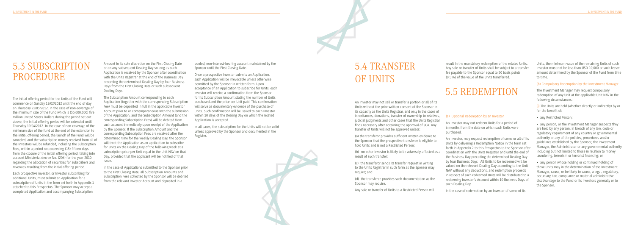### 5.4 TRANSFER OF UNITS

result in the mandatory redemption of the related Units. Any sale or transfer of Units shall be subject to a transfer fee payable to the Sponsor equal to 50 basis points (0.5%) of the value of the Units transferred.

### 5.5 REDEMPTION

An Investor may not sell or transfer a portion or all of its Units without the prior written consent of the Sponsor in its capacity as the Units Registrar, and only in the cases of inheritances, donations, transfer of ownership to relatives, judicial judgments and other cases that the Units Registrar fnds necessary after obtaining the approval of SCA. Any transfer of Units will not be approved unless:

(a) the transferor provides suffcient written evidence to the Sponsor that the prospective transferee is eligible to hold Units and is not a Restricted Person;

(b) no other Investor is likely to be adversely affected as a result of such transfer;

(c) the transferor sends its transfer request in writing to the Units Registrar in such form as the Sponsor may require; and

(d) the transferee provides such documentation as the Sponsor may require.

Any sale or transfer of Units to a Restricted Person will

#### (a) Optional Redemption by an Investor

An Investor may not redeem Units for a period of 6 months from the date on which such Units were purchased.

An Investor, may request redemption of some or all of its Units by delivering a Redemption Notice in the form set forth in Appendix 2 to this Prospectus to the Sponsor after coordination with the Units Registrar and until the end of the Business Day preceding the determined Dealing Day by four Business Days . All Units to be redeemed will be valued on the relevant Dealing Day according to the Unit NAV without any deductions, and redemption proceeds in respect of such redeemed Units will be distributed to a redeeming Investor's Account within 10 Business Days of such Dealing Day.

In the case of redemption by an Investor of some of its

### 5.3 SUBSCRIPTION PROCEDURE

The initial offering period for the Units of the Fund will commence on Sunday 19/02/2012 until the end of day on Thursday 22/03/2012. In the case of non-coverage of the minimum size of the Fund which is (\$5,000,000) fve million United States Dollars during the period set out above, the initial offering period will be extended until Thursday 19/04/2012. In the case of non-coverage of the minimum size of the fund at the end of the extension to the initial offering period, the launch of the Fund will be canceled, and the subscription money received from all of the Investors will be refunded, including the Subscription Fees, within a period not exceeding (15) fifteen days from the closure of the initial offering period, taking into account Ministerial decree No. (206) for the year 2010 regarding the allocation of securities for subscribers and revenues resulting from the initial offering period.

Each prospective investor, or Investor subscribing for additional Units, must submit an Application for a subscription of Units in the form set forth in Appendix 1 attached to this Prospectus. The Sponsor may accept a completed Application and accompanying Subscription Amount in its sole discretion on the First Closing Date or on any subsequent Dealing Day so long as such Application is received by the Sponsor after coordination with the Units Registrar at the end of the Business Day preceding the determined Dealing Day by four Business Days from the First Closing Date or such subsequent Dealing Days.

The Subscription Amount corresponding to each Application (together with the corresponding Subscription Fee) must be deposited in full in the applicable Investor Account prior to or contemporaneous with the submission of the Application, and the Subscription Amount (and the corresponding Subscription Fees) will be debited from such account immediately upon receipt of the Application by the Sponsor. If the Subscription Amount and the corresponding Subscription Fees are received after the determined time for the weekly Dealing Day, the Sponsor will treat the Application as an application to subscribe for Units on the Dealing Day of the following week at a subscription price per Unit equal to the Unit NAV on that Day, provided that the applicant will be notifed of that issue.

In the case of Applications submitted to the Sponsor prior to the First Closing Date, all Subscription Amounts and Subscription Fees collected by the Sponsor will be debited from the relevant Investor Account and deposited in a

pooled, non-interest-bearing account maintained by the Sponsor until the First Closing Date.

Once a prospective investor submits an Application, such Application will be irrevocable unless otherwise permitted by the Sponsor in written form. Upon acceptance of an Application to subscribe for Units, each Investor will receive a confrmation from the Sponsor for its Subscription Amount stating the number of Units purchased and the price per Unit paid. This confrmation will serve as documentary evidence of the purchase of Units. Such confrmation will be issued to each Investor within 10 days of the Dealing Day on which the related Application is accepted.

In all cases, the subscription for the Units will not be valid unless approved by the Sponsor and documented in the Register.



Units, the minimum value of the remaining Units of such Investor must not be less than USD 10,000 or such lesser amount determined by the Sponsor of the Fund from time to time.

#### (b) Compulsory Redemption by the Investment Manager

The Investment Manager may request compulsory redemption of any Unit at the applicable Unit NAV in the following circumstances:

(i) The Units are held (whether directly or indirectly) by or for the beneft of:

• any Restricted Person;

• any person, or the Investment Manager suspects they are held by any person, in breach of any law, code or regulatory requirement of any country or governmental authority or any of the policies, procedures and/or guidelines established by the Sponsor, the Investment Manager, the Administrator or any governmental authority including but not limited to those in relation to money laundering, terrorism or terrorist fnancing; or

• any person whose holding or continued holding of those Units may in the determination of the Investment Manager, cause, or be likely to cause, a legal, regulatory, pecuniary, tax, compliance or material administrative disadvantage to the Fund or its Investors generally or to the Sponsor.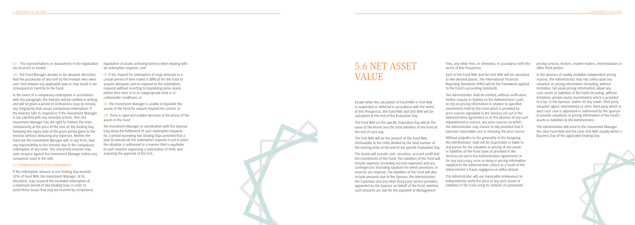### 5.6 NET ASSET VALUE

liquidation of assets achieving fairness when dealing with all redemption requests; and

 $(i)$  if the request for redemption of large amounts in a certain period of time makes it diffcult for the Fund to acquire adequate cash to respond to the redemption requests without resorting to liquidating some assets before their time or in an inappropriate time or in unfavorable conditions; or

(ii) the Investment Manager is unable to liquidate the assets of the Fund for reasons beyond his control; or

(iii) there is rapid and sudden decrease in the prices of the assets in the Fund

the Investment Manager in coordination with the Sponsor may delay the fulfllment of such redemption requests for a period exceeding two Dealing Days provided that a plan to execute all the redemption requests is put in place the situation is addressed in a manner that is equitable to each Investor requesting a redemption of Units and acquiring the approval of the SCA.



Except when the calculation of Fund NAV or Unit NAV is suspended or deferred in accordance with the terms of this Prospectus, the Fund NAV and Unit NAV will be calculated at the end of the Evaluation Day.

The Fund NAV on the specifc Evaluation Day will be the value of the Assets less the total liabilities of the Fund at the end of such day.

The Unit NAV will be the amount of the Fund NAV attributable to the Units divided by the total number of the existing Units at the end of the specifc Evaluation Day.

The Assets will include cash, securities, accrued proft and the investments of the Fund. The liabilities of the Fund will include expenses (including accrued expenses) and any contingencies (including taxation) for which provisions or reserves are required. The liabilities of the Fund will also include amounts due to the Sponsor, the Administrator, the Custodian and any other third party service providers appointed by the Sponsor on behalf of the Fund, whether such amounts are due for the payment of Management

Fees, any other Fees, or otherwise, in accordance with the terms of this Prospectus.

Each of the Fund NAV and the Unit NAV will be calculated to two decimal places. The International Financial Reporting Standards (IFRS) will be the framework applied to the Fund's accounting standards.

The Administrator shall be entitled, without verifcation, further enquiry or liability on the Administrator's part, to rely on pricing information in relation to specifed investments held by the Fund which is provided by price sources stipulated in the Services set out in the Administration Agreement or, in the absence of any such stipulated price sources, any price sources on which the Administrator may choose to rely provided that it exercises reasonable care in choosing the price source.

Without prejudice to the generality of the foregoing, the Administrator shall not be responsible or liable to any person for the valuation or pricing of any assets or liabilities of the Fund (save as provided in the Services set out in the Administration Agreement) or for any inaccuracy, error or delay in pricing information supplied to the Administrator, unless as a result of the Administrator's fraud, negligence or wilful default.

The Administrator will use reasonable endeavours to independently verify the price of any such assets or liabilities of the Fund using its network of automated

(ii) The representations or declarations in the Application are incorrect or invalid.

(iii) The Fund Manager decides in his absolute discretion, that the possession of any Unit by the Investor who owns such Unit violates any applicable laws or may result in tax consequences harmful to the Fund.

In the event of a compulsory redemption in accordance with this paragraph, the Investor will be notifed in writing and will be given a period of 10 Business Days to remedy any irregularity that causes compulsory redemption. If the Investor fails to respond or if the Investment Manager is not satisfed with any remedial actions, then the Investment Manager has the right to redeem the Units compulsorily at the price of the Unit on the Dealing Day following the expiry date of the grace period given to the Investor without deducting any expenses. Neither the Fund nor the Investment Manager will, in any form, bear any responsibility to the Investor due to the compulsory redemption of any Units. The concerned Investor may seek recourse against the Investment Manager before any competent court in the UAE.

#### (c) Postponement of Units redemptions

If the redemption amount in one Dealing Day exceeds 10% of Fund NAV, the Investment Manager, at its discretion, may suspend the exceeded redemption at a maximum period of two Dealing Days in order to avoid those losses that may be incurred by compulsory pricing services, brokers, market makers, intermediaries or other third parties.

In the absence of readily available independent pricing sources, the Administrator may rely solely upon any valuation or pricing information (including, without limitation, fair value pricing information) about any such assets or liabilities of the Fund (including, without limitation, private equity investments) which is provided to it by: (i) the Sponsor, and/or (ii) any valuer, third party valuation agent, intermediary or other third party which in each such case is appointed or authorised by the Sponsor to provide valuations or pricing information of the Fund's assets or liabilities to the Administrator.

The Administrator will send to the Investment Manager the clear Fund NAV and the clear Unit NAV usually within 1 Business Day of the applicable Dealing Day.

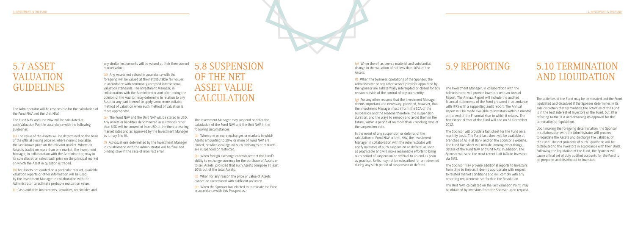(e) When there has been a material and substantial change in the valuation of not less than 10% of the Assets.

(f) When the business operations of the Sponsor, the Administrator or any other service provider appointed by the Sponsor are substantially interrupted or closed for any reason outside of the control of any such entity.

 $(g)$  For any other reasons that the Investment Manager deems important and necessary; provided, however, that the Investment Manager must inform the SCA of the suspension and the reasons therefore, the suspension duration, and the ways to remedy and avoid them in the future, within a period of no more than 2 working days of the suspension date.

In the event of any suspension or deferral of the calculation of Fund NAV or Unit NAV, the Investment Manager in collaboration with the Administrator will notify Investors of such suspension or deferral as soon as practicable and will make reasonable efforts to bring such period of suspension or deferral to an end as soon as practical. Units may not be subscribed for or redeemed during any such period of suspension or deferral.

### 5.9 REPORTING

The Investment Manager, in collaboration with the Administrator, will provide Investors with an Annual Report. The Annual Report will include the audited fnancial statements of the Fund prepared in accordance with IFRS with a supporting audit report. The Annual Report will be made available to Investors within 3 months at the end of the Financial Year to which it relates. The frst Financial Year of the Fund will end on 31 December 2012.

The Administrator will be responsible for the calculation of the Fund NAV and the Unit NAV.

> The Sponsor will provide a fact sheet for the Fund on a monthly basis. The Fund fact sheet will be available at branches of Al Hilal Bank and on the Sponsor's website. The Fund fact sheet will include, among other things, details of the Fund NAV and Unit NAV. In addition, the Sponsor will send the most recent Unit NAV to Investors via SMS.

 $(a)$  The value of the Assets will be determined on the basis as it may find fit. of the offcial closing price or, where none is available, the last known price on the relevant market. Where an Asset is traded on more than one market, the Investment Manager, in collaboration with the Administrator, may in its sole discretion select such price on the principal market on which the Asset in question is traded.

The Sponsor may provide additional reports to Investors from time to time as it deems appropriate with respect to related market conditions and will comply with any reporting requirements set forth in the Resolution.

The Unit NAV, calculated on the last Valuation Point, may be obtained by Investors from the Sponsor upon request.

### 5.10 TERMINATION AND LIQUIDATION

The activities of the Fund may be terminated and the Fund liquidated and dissolved if the Sponsor determines in its sole discretion that terminating the activities of the Fund is in the best interest of Investors or the Fund, but after referring to the SCA and obtaining its approval for the termination or liquidation.

Upon making the foregoing determination, the Sponsor in collaboration with the Administrator will proceed to liquidate the Assets and discharge the liabilities of the Fund. The net proceeds of such liquidation will be distributed to the Investors in accordance with their Units. Following the liquidation of the Fund, the Sponsor will cause a fnal set of duly audited accounts for the Fund to be prepared and distributed to Investors.

### 5.7 ASSET VALUATION GUIDELINES

The Fund NAV and Unit NAV will be calculated at each Valuation Point in accordance with the following guidelines:

(b) For Assets not quoted on a particular market, available valuation reports or other information will be used by the Investment Manager in collaboration with the Administrator to estimate probable realization value.

(c) Cash and debt instruments, securities, receivables and

any similar instruments will be valued at their then current market value.

(d) Any Assets not valued in accordance with the foregoing will be valued at their attributable fair values in accordance with commonly accepted international valuation standards. The Investment Manager, in collaboration with the Administrator and after taking the opinion of the Auditor, may determine in relation to any Asset or any part thereof to apply some more suitable method of valuation when such method of valuation is more appropriate.

(e) The Fund NAV and the Unit NAV will be stated in USD. Any Assets or liabilities denominated in currencies other than USD will be converted into USD at the then prevailing market rates and as approved by the Investment Manager

(f) All valuations determined by the Investment Manager in collaboration with the Administrator will be fnal and binding save in the case of manifest error.

### 5.8 SUSPENSION OF THE NET ASSET VALUE CALCULATION

The Investment Manager may suspend or defer the calculation of the Fund NAV and the Unit NAV in the following circumstances:

(a) When one or more exchanges or markets in which Assets amounting to 10% or more of Fund NAV are closed, or when dealings on such exchanges or markets are suspended or restricted.

(b) When foreign exchange controls restrict the Fund's ability to exchange currency for the purchase of Assets or to sell Assets, provided that such Assets compose at least 10% out of the total Assets.

(c) When for any reason the price or value of Assets cannot be ascertained with suffcient accuracy.

(d) When the Sponsor has elected to terminate the Fund in accordance with this Prospectus.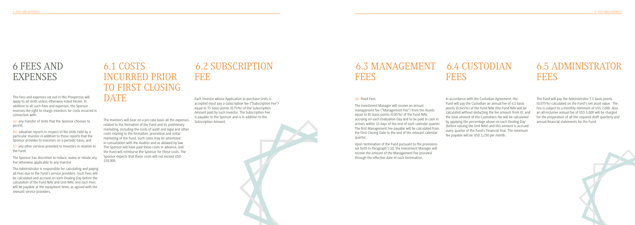#### (a) Fixed Fees

The Investment Manager will receive an annual management fee ("Management Fee") from the Assets equal to 85 basis points (0.85%) of the Fund NAV, accruing on each Evaluation Day and to be paid in cash in arrears within 15 days of the end of each calendar quarter. The frst Management Fee payable will be calculated from the First Closing Date to the end of the relevant calendar quarter.

Upon termination of the Fund pursuant to the provisions set forth in Paragraph 5.10, the Investment Manager will receive the amount of the Management Fee prorated through the effective date of such termination.

## FEES

In accordance with the Custodian Agreement, the Fund will pay the Custodian an annual fee of 4.5 basis points (0.045%) of the Fund NAV (the Fund NAV will be calculated without deducting the fee amount from it), and the total amount of the Custodians fee will be calculated by applying the percentage above on each Dealing Day (before valuing the Unit NAV) and this amount is accrued every quarter of the Fund's Financial Year. The minimum fee payable will be USD 1,250 per month.

### 6.5 ADMINISTRATOR FEES

The Fund will pay the Administrator 7.5 basis points (0.075%) calculated on the Fund's net asset value. The Fee is subject to a monthly minimum of US\$ 2,000. Also an all-inclusive annual fee of US\$ 5,000 will be charged for the preparation of all the required draft quarterly and annual fnancial statements for the Fund.



(a) any transfer of Units that the Sponsor chooses to permit;

### 6.3 MANAGEMENT 6.4 CUSTODIAN **FEES**

### 6 FEES AND EXPENSES

### 6.2 SUBSCRIPTION FEE

Each Investor whose Application to purchase Units is accepted must pay a subscription fee ("Subscription Fee") equal to 75 basis points (0.75%) of the Subscription Amount paid by such Investor. The Subscription Fee is payable to the Sponsor and is in addition to the Subscription Amount.

### 6.1 COSTS INCURRED PRIOR TO FIRST CLOSING DATE

The Investors will bear on a pro rata basis all the expenses related to the formation of the Fund and its preliminary marketing, including the costs of audit and legal and other costs relating to the formation, promotion and initial marketing of the Fund. Such costs may be amortized in consultation with the Auditor and as allowed by law. The Sponsor will have paid these costs in advance, and the Fund will reimburse the Sponsor for these costs. The Sponsor expects that these costs will not exceed USD 150,000.



The Fees and expenses set out in this Prospectus will apply to all Units unless otherwise noted herein. In addition to all such Fees and expenses, the Sponsor reserves the right to charge Investors for costs incurred in connection with:

(b) valuation reports in respect of the Units held by a particular Investor in addition to those reports that the Sponsor provides to Investors on a periodic basis; and

(c) any other services provided to Investors in relation to the Fund.

The Sponsor has discretion to reduce, waive or rebate any Fee otherwise applicable to any Investor.

The Administrator is responsible for calculating and paying all Fees due to the Fund's service providers. Such Fees will be calculated and accrued on each Dealing Day before the calculation of the Fund NAV and Unit NAV, and such Fees will be payable at the repayment times as agreed with the relevant service providers.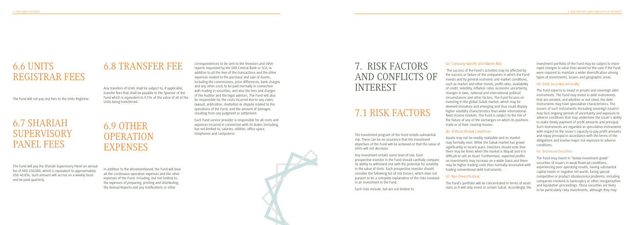correspondences to be sent to the Investors and other reports requested by the UAE Central Bank or SCA, in addition to all the fees of the transactions and the other expenses related to the purchase and sale of Assets, including the commissions, price differences, bank charges and any other costs to be paid normally in connection with trading in securities, and also the fees and charges of the Auditor and the legal advisors. The Fund will also be responsible for the costs incurred due to any claim, lawsuit, arbitration, mediation or dispute related to the operations of the Fund, and the amount of damages resulting from any judgment or settlement.

Each Fund service provider is responsible for all costs and expenses incurred in connection with its duties (including, but not limited to, salaries, utilities, offce space, telephones and computers).

#### (a) Company-Specifc and Market Risk:

The success of the Fund's activities may be affected by the success or failure of the companies in which the Fund invests and by general economic and market conditions, such as market and other trends, proft rates, availability of credit, volatility, infation rates, economic uncertainty, changes in laws, national and international political circumstances and other factors. The Fund focuses on investing in the global Sukuk market, which may be deemed immature and emerging and thus could display higher volatility characteristics than wider international fxed income markets. The Fund is subject to the risk of the failure of any of the exchanges on which its positions trade or of their clearing-houses.

#### (b) Diffcult Market Conditions:

Assets may not be readily realizable and no market may formally exist. While the Sukuk market has grown signifcantly in recent years, Investors should note that there may be times when the market is illiquid and it is diffcult to sell an Asset. Furthermore, expected profts on Investments may increase on a wider basis and there may be higher trading costs than normally associated with trading conventional debt instruments.

#### (c) Non-Diversifcation:

The Fund's portfolio will be concentrated in terms of asset class as it will only invest in certain Sukuk. Accordingly, the

### 7. RISK FACTORS AND CONFLICTS OF INTEREST

### 7.1 RISK FACTORS

The investment program of the Fund entails substantial risk. There can be no assurance that the investment objectives of the Fund will be achieved or that the value of Units will not decrease.

Any investment entails some level of risk. Each prospective investor in the Fund should carefully compare its ability to withstand risk with the potential for volatility in the value of Units. Each prospective investor should consider the following list of risk factors, which does not purport to be a complete explanation of the risks involved in an investment in the Fund.

Such risks include, but are not limited to:

### 6.6 UNITS REGISTRAR FEES

The Fund will not pay any fees to the Units Registrar.

### 6.7 SHARIAH SUPERVISORY PANEL FEES

The Fund will pay the Shariah Supervisory Panel an annual fee of AED 150,000, which is equivalent to approximately USD 40,836, Such amount will accrue on a weekly basis and be paid quarterly.

### 6.8 TRANSFER FEE

Any transfers of Units shall be subject to, if applicable, transfer fees that shall be payable to the Sponsor of the Fund which is equivalent to 0.5% of the value of all of the Units being transferred.

### 6.9 OTHER OPERATION EXPENSES

In addition to the aforementioned, the Fund will bear all the continuous operation expenses and the other expenses of the Fund, including, but not limited to, the expenses of preparing, printing and distributing the Annual Reports and any notifcations or other



investment portfolio of the Fund may be subject to more rapid changes in value than would be the case if the Fund were required to maintain a wider diversifcation among types of investments, issuers and geographic areas.

#### (d) Debt Securities Generally:

The Fund expects to invest in private and sovereign debt instruments. The Fund may invest in debt instruments that are unrated, and whether or not rated, the debt instruments may have speculative characteristics. The issuers of such instruments (including sovereign issuers) may face ongoing periods of uncertainty and exposure to adverse conditions that may undermine the issuer's ability to make timely payment of proft amounts and principal. Such instruments are regarded as speculative instruments with respect to the issuer's capacity to pay proft amounts and repay principal in accordance with the terms of the obligations and involve major risk exposure to adverse conditions.

#### (e) Distressed Securities:

The Fund may invest in "below investment grade" securities of issuers in weak fnancial conditions, experiencing poor operating results, having substantial capital needs or negative net worth, facing special competitive or product obsolescence problems, including companies involved in bankruptcy or other reorganization and liquidation proceedings. These securities are likely to be particularly risky investments, although they may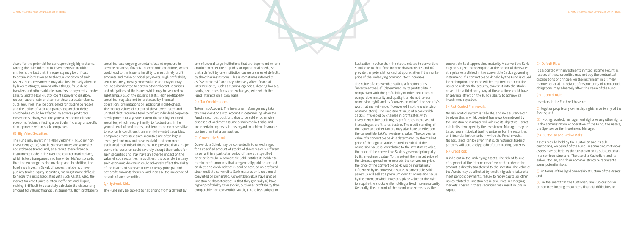fuctuation in value than the stocks related to convertible Sukuk due to their fxed income characteristics and (iii) provide the potential for capital appreciation if the market price of the underlying common stock increases.

The value of a convertible Sakk is a function of its "investment value" (determined by its proftability in comparison with the proftability of other securities of comparable maturity and quality that do not have a conversion right) and its "conversion value" (the security's worth, at market value, if converted into the underlying common stock). The investment value of a convertible Sakk is infuenced by changes in proft rates, with investment value declining as proft rates increase and increasing as proft rates decline. The credit standing of the issuer and other factors may also have an effect on the convertible Sakk's investment value. The conversion value of a convertible Sakk is determined by the market price of the regular stocks related to Sukuk. If the conversion value is low relative to the investment value, the price of the convertible Sakk is governed principally by its investment value. To the extent the market price of the stocks approaches or exceeds the conversion price, the price of the convertible Sakk will be increasingly infuenced by its conversion value. A convertible Sakk generally will sell at a premium over its conversion value by the extent to which investors place value on the right to acquire the stocks while holding a fxed income security. Generally, the amount of the premium decreases as the

convertible Sakk approaches maturity. A convertible Sakk may be subject to redemption at the option of the issuer at a price established in the convertible Sakk's governing instrument. If a convertible Sakk held by the Fund is called for redemption, the Fund will be required to permit the issuer to redeem the security, convert it into the stocks or sell it to a third party. Any of these actions could have an adverse effect on the Fund's ability to achieve its investment objective.

#### (j) Risk Control Framework:

No risk control system is fail-safe, and no assurance can be given that any risk control framework employed by the Investment Manager will achieve its objective. Target risk limits developed by the Investment Manager may be based upon historical trading patterns for the securities and fnancial instruments in which the Fund invests. No assurance can be given that such historical trading patterns will accurately predict future trading patterns.

#### (k) Credit Risk:

Is inherent in the underlying Assets. The risk of failure of payment of the interim cash fow or the redemption amount is directly transferred to the Investor. The value of the Assets may be affected by credit migration, failure to meet periodic payments, failure to repay capital or other issues related to investments in securities in emerging markets. Losses in these securities may result in loss in capital.

also offer the potential for correspondingly high returns. Among the risks inherent in investments in troubled entities is the fact that it frequently may be diffcult to obtain information as to the true condition of such issuers. Such investments may also be adversely affected by laws relating to, among other things, fraudulent transfers and other voidable transfers or payments, lender liability and the bankruptcy court's power to disallow, reduce, subordinate or disenfranchise particular claims. Such securities may be considered for trading purposes, and the ability of such companies to pay their debts on schedule could be affected by adverse proft rate movements, changes in the general economic climate, economic factors affecting a particular industry or specifc developments within such companies.

#### (f) High Yield Securities:

(ii) voting, control, management rights or any other rights in the administration or operation of the Fund, the Assets, the Sponsor or the Investment Manager.

The Fund may invest in "higher yielding" (including noninvestment grade) Sukuk. Such securities are generally not exchange traded and, as a result, these fnancial instruments trade in the over-the-counter marketplace, which is less transparent and has wider bid/ask spreads than the exchange-traded marketplace. In addition, the Fund may invest in Sukuk of issuers that do not have publicly traded equity securities, making it more diffcult to hedge the risks associated with such Assets. Also, the market for credit price is often inefficient and illiquid, making it diffcult to accurately calculate the discounting amount for valuing fnancial instruments. High proftability

securities face ongoing uncertainties and exposure to adverse business, fnancial or economic conditions, which could lead to the issuer's inability to meet timely proft amounts and make principal payments. High proftability securities are generally more volatile and may or may not be subordinated to certain other relevant securities and obligations of the issuer, which may be secured by substantially all of the issuer's assets. High proftability securities may also not be protected by fnancial obligations or limitations on additional indebtedness. The market values of certain of these lower-rated and unrated debt securities tend to refect individual corporate developments to a greater extent than do higher-rated securities, which react primarily to fuctuations in the general level of proft rates, and tend to be more sensitive to economic conditions than are higher-rated securities. Companies that issue such securities are often highly leveraged and may not have available to them more traditional methods of fnancing. It is possible that a major economic recession could severely disrupt the market for such securities and may have an adverse impact on the value of such securities. In addition, it is possible that any such economic downturn could adversely affect the ability of the issuers of such securities to repay principal and pay proft amounts thereon, and increase the incidence of default of such securities.

#### (g) Systemic Risk:

The Fund may be subject to risk arising from a default by

one of several large institutions that are dependent on one another to meet their liquidity or operational needs, so that a default by one institution causes a series of defaults by the other institutions. This is sometimes referred to as "systemic risk" and may adversely affect fnancial intermediaries, such as clearing agencies, clearing houses, banks, securities frms and exchanges, with which the Fund interacts on a daily basis.

#### (h) Tax Considerations

Taken into Account: The Investment Manager may take tax considerations into account in determining when the Fund's securities positions should be sold or otherwise disposed of and may assume certain market risks and incur certain expenses in this regard to achieve favorable tax treatment of a transaction.

#### (i) Convertible Sukuk:

Convertible Sukuk may be converted into or exchanged for a specifed amount of stocks of the same or a different issuer within a particular period of time at a specifed price or formula. A convertible Sakk entitles its holder to receive proft amounts that are generally paid or accrued on debt or a dividend that is paid or accrued on preferred stock until the convertible Sakk matures or is redeemed, converted or exchanged. Convertible Sukuk have unique investment characteristics in that they generally (i) have higher proftability than stocks, but lower proftability than comparable non-convertible Sukuk, (ii) are less subject to

#### (l) Default Risk:

Is associated with investments in fxed income securities. Issuers of these securities may not pay the contractual distributions or principal on the instrument in a timely manner, or at all. A default of restructuring of contractual obligations may adversely affect the value of the Fund.

#### (m) Control Risk:

Investors in the Fund will have no:

(i) legal or proprietary ownership rights in or to any of the Assets; and

#### (n) Custodian and Broker Risks:

Assets may be held by the Custodian and its subcustodians, on behalf of the Fund. In some circumstances, assets may be held by the Custodian or its sub-custodian in a nominee structure. The use of a Custodian, and its sub-custodian, and their nominee structure represents some potential risks:

(i) in terms of the legal ownership structure of the Assets; and

(ii) in the event that the Custodian, any sub-custodian, or nominee holding encounters fnancial diffculties to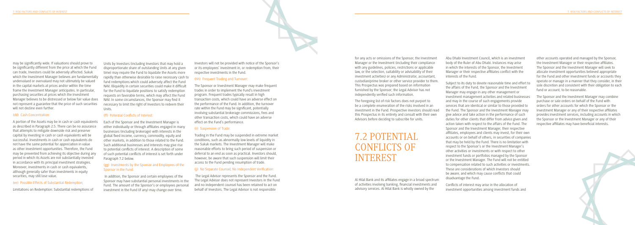may be signifcantly wide. If valuations should prove to be signifcantly different from the price at which the Fund can trade, Investors could be adversely affected. Sukuk which the Investment Manager believes are fundamentally undervalued or overvalued may not ultimately be valued in the capital markets at prices and/or within the time frame the Investment Manager anticipates. In particular, purchasing securities at prices which the Investment Manager believes to be distressed or below fair value does not represent a guarantee that the price of such securities will not decline even further.

#### (dd) Cash Concentration:

A portion of the Assets may be in cash or cash equivalents as described in Paragraph 2.5. There can be no assurance that attempts to mitigate downside risk and preserve capital by investing in cash or cash equivalents will be successful. Investments in cash or cash equivalents do not have the same potential for appreciation in value as other investment opportunities. Therefore, the Fund may be prevented from achieving its objective during any period in which its Assets are not substantially invested in accordance with its principal investment strategies. Moreover, investments in cash or cash equivalents, although generally safer than investments in equity securities, may still lose value.

#### (ee) Possible Effects of Substantial Redemption;

Limitations on Redemption: Substantial redemptions of

Units by Investors (including Investors that may hold a disproportionate share of outstanding Units at any given time) may require the Fund to liquidate the Assets more rapidly than otherwise desirable to raise necessary cash to fund redemptions which could adversely affect the Fund NAV. Illiquidity in certain securities could make it difficult for the Fund to liquidate positions to satisfy redemption requests on favorable terms, which may affect the Fund NAV. In some circumstances, the Sponsor may fnd it necessary to limit the right of Investors to redeem their Units.

#### (ff) Potential Conficts of Interest:

Each of the Sponsor and the Investment Manager is either individually or through affliates engaged in many businesses (including brokerage) with interests in the global fxed income, currency, commodity, equity and other markets, in addition to those related to the Fund. Such additional businesses and interests may give rise to potential conficts of interest. A description of some of such potential conficts of interest is set forth under Paragraph 7.2 below.

#### (gg) Investments by the Sponsor and Employees of the Sponsor in the Fund:

 In addition, the Sponsor and certain employees of the Sponsor may have substantial personal investments in the Fund. The amount of the Sponsor's or employees personal investment in the Fund (if any) may change over time.

Investors will not be provided with notice of the Sponsor's or its employees' investment in, or redemption from, their respective investments in the Fund.

#### (hh) Frequent Trading and Turnover:

The Sponsor or Investment Manager may make frequent trades in order to implement the Fund's investment program. Frequent trades typically result in high transaction costs, which could have an adverse effect on the performance of the Fund. In addition, the turnover rate within the Fund may be signifcant, potentially involving substantial brokerage commissions, fees and other transaction costs, which could have an adverse effect on the Fund's performance.

#### (ii) Suspension of Trade:

Trading in the Fund may be suspended in extreme market conditions, such as abnormally low levels of liquidity in the Sukuk markets. The Investment Manager will make reasonable efforts to bring such period of suspension or deferral to an end as soon as practical. Investors should, however, be aware that such suspension will limit their access to the Fund pending resumption of trade.

#### (jj) No Separate Counsel; No Independent Verifcation:

 The Legal Advisor represents the Sponsor and the Fund. The Legal Advisor does not represent Investors in the Fund and no independent counsel has been retained to act on behalf of Investors. The Legal Advisor is not responsible

for any acts or omissions of the Sponsor, the Investment Manager or the Investment (including their compliance with any guidelines, policies, restrictions or applicable law, or the selection, suitability or advisability of their investment activities) or any Administrator, accountant, custodian/prime broker or other service provider to them. This Prospectus was prepared based on information furnished by the Sponsor; the Legal Advisor has not independently verifed such information.

The foregoing list of risk factors does not purport to be a complete enumeration of the risks involved in an investment in the Fund. Prospective investors should read this Prospectus in its entirety and consult with their own Advisors before deciding to subscribe for units.

### 7.2 POTENTIAL CONFLICTS OF INTEREST

Al Hilal Bank and its affliates engage in a broad spectrum of activities involving banking, fnancial investments and advisory services. Al Hilal Bank is wholly owned by the

Abu Dhabi Investment Council, which is an investment body of the Ruler of Abu Dhabi. Instances may arise in which the interests of the Sponsor, the Investment Manager or their respective affliates confict with the interests of the Fund.

Subject to its duty to devote reasonable time and effort to the affairs of the Fund, the Sponsor and the Investment Manager may engage in any other management or investment management activities and related businesses and may in the course of such engagements provide services that are identical or similar to those provided to the Fund. The Sponsor and the Investment Manager may give advice and take action in the performance of such duties for other clients that differ from advice given and action taken with respect to the affairs of the Fund. The Sponsor and the Investment Manager, their respective affliates, employees and clients may invest, for their own accounts or on behalf of others, in securities of companies that may be held by the Fund. There is no limitation with respect to the Sponsor's or the Investment Manager's other activities or investments or with respect to other investment funds or portfolios managed by the Sponsor or the Investment Manager. The Fund will not be entitled to compensation related to such activities or investments. These are considerations of which Investors should be aware, and which may cause conficts that could disadvantage the Fund.

Conficts of interest may arise in the allocation of investment opportunities among investment funds and other accounts operated and managed by the Sponsor, the Investment Manager or their respective affliates. The Sponsor and the Investment Manager will seek to allocate investment opportunities believed appropriate for the Fund and other investment funds or accounts they operate or manage in a manner that they consider, in their sole discretion and consistent with their obligation to each fund or account, to be reasonable.

The Sponsor and the Investment Manager may combine purchase or sale orders on behalf of the Fund with orders for other accounts for which the Sponsor or the Investment Manager or any of their respective affliates provides investment services, including accounts in which the Sponsor or the Investment Manager or any of their respective affliates may have benefcial interests.



7. RISK FACTORS AND CONFLICTS OF INTEREST 7. RISK FACTORS AND CONFLICTS OF INTEREST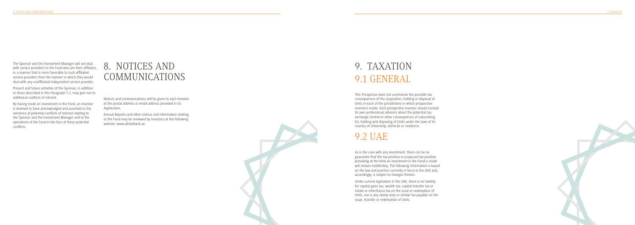The Sponsor and the Investment Manager will not deal with service providers to the Fund who are their affiliates in a manner that is more favorable to such affliated service providers than the manner in which they would deal with any unaffliated independent service provider.

Present and future activities of the Sponsor, in addition to those described in this Paragraph 7.2, may give rise to additional conficts of interest.

By having made an investment in the Fund, an Investor is deemed to have acknowledged and assented to the existence of potential conficts of interest relating to the Sponsor and the Investment Manager and to the operations of the Fund in the face of these potential conficts.

### 8. NOTICES AND COMMUNICATIONS

Notices and communications will be given to each Investor at the postal address or email address provided in its Application.

Annual Reports and other notices and information relating to the Fund may be reviewed by Investors at the following website: www.alhilalbank.ae.



### 9. TAXATION 9.1 GENERAL

This Prospectus does not summarize the possible tax consequences of the acquisition, holding or disposal of Units in each of the jurisdictions in which prospective investors reside. Each prospective investor should consult its own professional advisors about the potential tax, exchange control or other consequences of subscribing for, holding and disposing of Units under the laws of its country of citizenship, domicile or residence.

### 9.2 UAE

As is the case with any investment, there can be no guarantee that the tax position or proposed tax position prevailing at the time an investment in the Fund is made will endure indefnitely. The following information is based on the law and practice currently in force in the UAE and, accordingly, is subject to changes therein.

Under current legislation in the UAE, there is no liability for capital gains tax, wealth tax, capital transfer tax or estate or inheritance tax on the issue or redemption of Units, nor is any stamp duty or similar tax payable on the issue, transfer or redemption of Units.

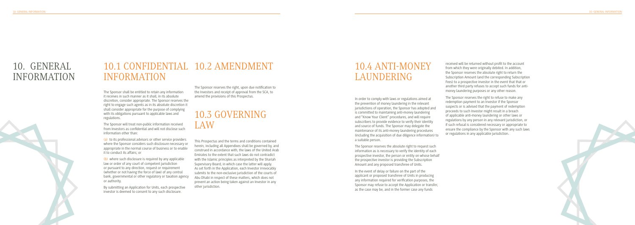### 10.4 ANTI-MONEY LAUNDERING

In order to comply with laws or regulations aimed at the prevention of money laundering in the relevant jurisdictions of operation, the Sponsor has adopted and is committed to maintaining anti-money laundering and "Know Your Client" procedures, and will require subscribers to provide evidence to verify their identity and source of funds. The Sponsor may delegate the maintenance of its anti-money laundering procedures (including the acquisition of due diligence information) to a suitable person.

The Sponsor reserves the absolute right to request such information as is necessary to verify the identity of each prospective investor, the person or entity on whose behalf the prospective investor is providing the Subscription Amount and any proposed transferee of Units.

In the event of delay or failure on the part of the applicant or proposed transferee of Units in producing any information required for verifcation purposes, the Sponsor may refuse to accept the Application or transfer, as the case may be, and in the former case any funds

received will be returned without proft to the account from which they were originally debited. In addition, the Sponsor reserves the absolute right to return the Subscription Amount (and the corresponding Subscription Fees) to a prospective investor in the event that that or another third party refuses to accept such funds for antimoney laundering purposes or any other reason.

The Sponsor reserves the right to refuse to make any redemption payment to an Investor if the Sponsor suspects or is advised that the payment of redemption proceeds to such Investor might result in a breach of applicable anti-money laundering or other laws or regulations by any person in any relevant jurisdiction, or if such refusal is considered necessary or appropriate to ensure the compliance by the Sponsor with any such laws or regulations in any applicable jurisdiction.



### 10. GENERAL INFORMATION



### 10.1 CONFIDENTIAL 10.2 AMENDMENT INFORMATION

The Sponsor shall be entitled to retain any information it receives in such manner as it shall, in its absolute discretion, consider appropriate. The Sponsor reserves the right to engage such agents as in its absolute discretion it shall consider appropriate for the purpose of complying with its obligations pursuant to applicable laws and regulations.

The Sponsor will treat non-public information received from Investors as confdential and will not disclose such information other than:

(a) to its professional advisors or other service providers where the Sponsor considers such disclosure necessary or appropriate in the normal course of business or to enable it to conduct its affairs; or

(b) where such disclosure is required by any applicable law or order of any court of competent jurisdiction or pursuant to any direction, request or requirement (whether or not having the force of law) of any central bank, governmental or other regulatory or taxation agency or authority.

By submitting an Application for Units, each prospective investor is deemed to consent to any such disclosure.

The Sponsor reserves the right, upon due notifcation to the Investors and receipt of approval from the SCA, to amend the provisions of this Prospectus.

### 10.3 GOVERNING LAW

This Prospectus and the terms and conditions contained herein, including all Appendixes shall be governed by, and construed in accordance with, the laws of the United Arab Emirates to the extent that such laws do not contradict with the Islamic principles as interpreted by the Shariah Supervisory Board, in which case the latter will apply. As set forth in the Application, each Investor irrevocably submits to the non-exclusive jurisdiction of the courts of Abu Dhabi in respect of these matters, which does not prevent an action being taken against an Investor in any other jurisdiction.